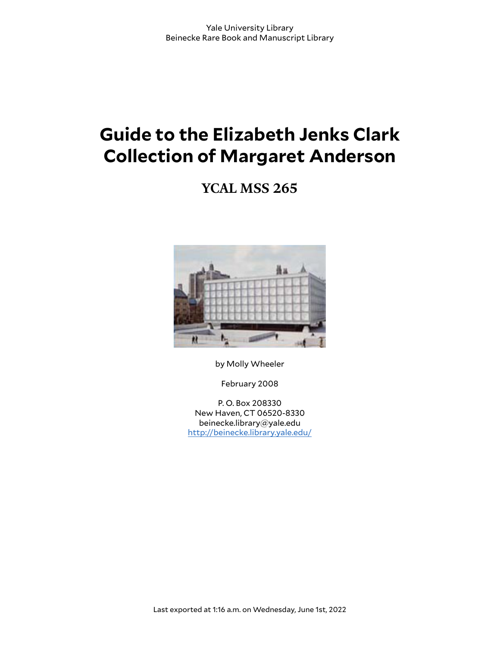# **Guide to the Elizabeth Jenks Clark Collection of Margaret Anderson**

**YCAL MSS 265**



by Molly Wheeler

February 2008

P. O. Box 208330 New Haven, CT 06520-8330 beinecke.library@yale.edu <http://beinecke.library.yale.edu/>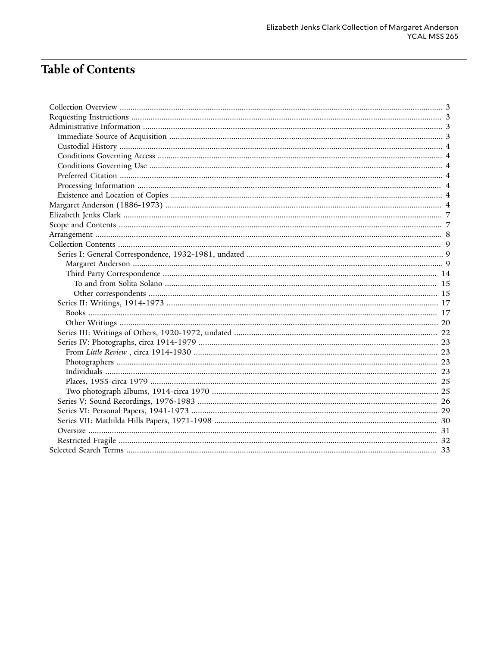## **Table of Contents**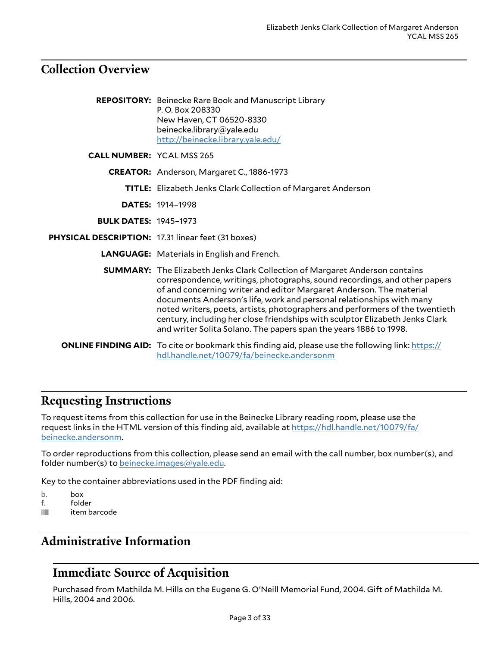### <span id="page-2-0"></span>**Collection Overview**

|                                                    | <b>REPOSITORY:</b> Beinecke Rare Book and Manuscript Library<br>P.O. Box 208330<br>New Haven, CT 06520-8330<br>beinecke.library@yale.edu<br>http://beinecke.library.yale.edu/                                                                                                                                                                                                                                                                                                                                                                       |
|----------------------------------------------------|-----------------------------------------------------------------------------------------------------------------------------------------------------------------------------------------------------------------------------------------------------------------------------------------------------------------------------------------------------------------------------------------------------------------------------------------------------------------------------------------------------------------------------------------------------|
| <b>CALL NUMBER: YCAL MSS 265</b>                   |                                                                                                                                                                                                                                                                                                                                                                                                                                                                                                                                                     |
|                                                    | CREATOR: Anderson, Margaret C., 1886-1973                                                                                                                                                                                                                                                                                                                                                                                                                                                                                                           |
|                                                    | <b>TITLE:</b> Elizabeth Jenks Clark Collection of Margaret Anderson                                                                                                                                                                                                                                                                                                                                                                                                                                                                                 |
|                                                    | <b>DATES: 1914-1998</b>                                                                                                                                                                                                                                                                                                                                                                                                                                                                                                                             |
| <b>BULK DATES: 1945-1973</b>                       |                                                                                                                                                                                                                                                                                                                                                                                                                                                                                                                                                     |
| PHYSICAL DESCRIPTION: 17.31 linear feet (31 boxes) |                                                                                                                                                                                                                                                                                                                                                                                                                                                                                                                                                     |
|                                                    | <b>LANGUAGE:</b> Materials in English and French.                                                                                                                                                                                                                                                                                                                                                                                                                                                                                                   |
|                                                    | <b>SUMMARY:</b> The Elizabeth Jenks Clark Collection of Margaret Anderson contains<br>correspondence, writings, photographs, sound recordings, and other papers<br>of and concerning writer and editor Margaret Anderson. The material<br>documents Anderson's life, work and personal relationships with many<br>noted writers, poets, artists, photographers and performers of the twentieth<br>century, including her close friendships with sculptor Elizabeth Jenks Clark<br>and writer Solita Solano. The papers span the years 1886 to 1998. |
|                                                    | <b>ONLINE FINDING AID:</b> To cite or bookmark this finding aid, please use the following link: https://<br>hdl.handle.net/10079/fa/beinecke.andersonm                                                                                                                                                                                                                                                                                                                                                                                              |

### <span id="page-2-1"></span>**Requesting Instructions**

To request items from this collection for use in the Beinecke Library reading room, please use the request links in the HTML version of this finding aid, available at [https://hdl.handle.net/10079/fa/](https://hdl.handle.net/10079/fa/beinecke.andersonm) [beinecke.andersonm.](https://hdl.handle.net/10079/fa/beinecke.andersonm)

To order reproductions from this collection, please send an email with the call number, box number(s), and folder number(s) to [beinecke.images@yale.edu.](mailto:beinecke.images@yale.edu)

Key to the container abbreviations used in the PDF finding aid:

- b. box<br>f. fold
- folder
- **iffulli** item barcode

### <span id="page-2-2"></span>**Administrative Information**

### <span id="page-2-3"></span>**Immediate Source of Acquisition**

Purchased from Mathilda M. Hills on the Eugene G. O'Neill Memorial Fund, 2004. Gift of Mathilda M. Hills, 2004 and 2006.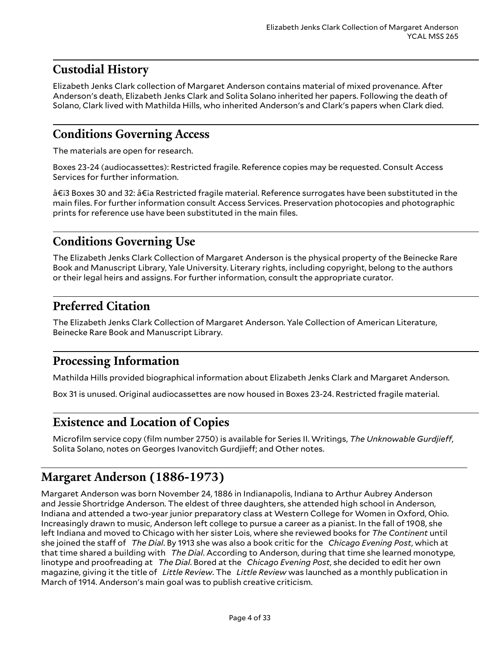### <span id="page-3-0"></span>**Custodial History**

Elizabeth Jenks Clark collection of Margaret Anderson contains material of mixed provenance. After Anderson's death, Elizabeth Jenks Clark and Solita Solano inherited her papers. Following the death of Solano, Clark lived with Mathilda Hills, who inherited Anderson's and Clark's papers when Clark died.

### <span id="page-3-1"></span>**Conditions Governing Access**

The materials are open for research.

Boxes 23-24 (audiocassettes): Restricted fragile. Reference copies may be requested. Consult Access Services for further information.

â€i3 Boxes 30 and 32: â€ia Restricted fragile material. Reference surrogates have been substituted in the main files. For further information consult Access Services. Preservation photocopies and photographic prints for reference use have been substituted in the main files.

### <span id="page-3-2"></span>**Conditions Governing Use**

The Elizabeth Jenks Clark Collection of Margaret Anderson is the physical property of the Beinecke Rare Book and Manuscript Library, Yale University. Literary rights, including copyright, belong to the authors or their legal heirs and assigns. For further information, consult the appropriate curator.

### <span id="page-3-3"></span>**Preferred Citation**

The Elizabeth Jenks Clark Collection of Margaret Anderson. Yale Collection of American Literature, Beinecke Rare Book and Manuscript Library.

### <span id="page-3-4"></span>**Processing Information**

Mathilda Hills provided biographical information about Elizabeth Jenks Clark and Margaret Anderson.

Box 31 is unused. Original audiocassettes are now housed in Boxes 23-24. Restricted fragile material.

### <span id="page-3-5"></span>**Existence and Location of Copies**

Microfilm service copy (film number 2750) is available for Series II. Writings, *The Unknowable Gurdjieff*, Solita Solano, notes on Georges Ivanovitch Gurdjieff; and Other notes.

### <span id="page-3-6"></span>**Margaret Anderson (1886-1973)**

Margaret Anderson was born November 24, 1886 in Indianapolis, Indiana to Arthur Aubrey Anderson and Jessie Shortridge Anderson. The eldest of three daughters, she attended high school in Anderson, Indiana and attended a two-year junior preparatory class at Western College for Women in Oxford, Ohio. Increasingly drawn to music, Anderson left college to pursue a career as a pianist. In the fall of 1908, she left Indiana and moved to Chicago with her sister Lois, where she reviewed books for *The Continent* until she joined the staff of *The Dial*. By 1913 she was also a book critic for the *Chicago Evening Post*, which at that time shared a building with *The Dial*. According to Anderson, during that time she learned monotype, linotype and proofreading at *The Dial*. Bored at the *Chicago Evening Post*, she decided to edit her own magazine, giving it the title of *Little Review*. The *Little Review* was launched as a monthly publication in March of 1914. Anderson's main goal was to publish creative criticism.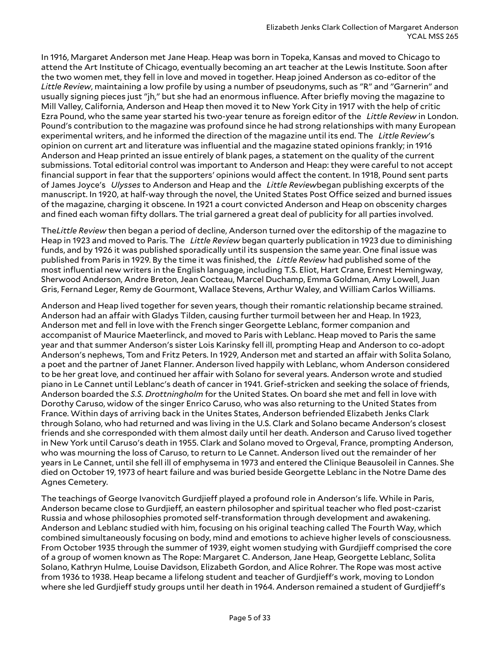In 1916, Margaret Anderson met Jane Heap. Heap was born in Topeka, Kansas and moved to Chicago to attend the Art Institute of Chicago, eventually becoming an art teacher at the Lewis Institute. Soon after the two women met, they fell in love and moved in together. Heap joined Anderson as co-editor of the *Little Review*, maintaining a low profile by using a number of pseudonyms, such as "R" and "Garnerin" and usually signing pieces just "jh," but she had an enormous influence. After briefly moving the magazine to Mill Valley, California, Anderson and Heap then moved it to New York City in 1917 with the help of critic Ezra Pound, who the same year started his two-year tenure as foreign editor of the *Little Review* in London. Pound's contribution to the magazine was profound since he had strong relationships with many European experimental writers, and he informed the direction of the magazine until its end. The *Little Review*'s opinion on current art and literature was influential and the magazine stated opinions frankly; in 1916 Anderson and Heap printed an issue entirely of blank pages, a statement on the quality of the current submissions. Total editorial control was important to Anderson and Heap: they were careful to not accept financial support in fear that the supporters' opinions would affect the content. In 1918, Pound sent parts of James Joyce's *Ulysses* to Anderson and Heap and the *Little Review*began publishing excerpts of the manuscript. In 1920, at half-way through the novel, the United States Post Office seized and burned issues of the magazine, charging it obscene. In 1921 a court convicted Anderson and Heap on obscenity charges and fined each woman fifty dollars. The trial garnered a great deal of publicity for all parties involved.

The*Little Review* then began a period of decline, Anderson turned over the editorship of the magazine to Heap in 1923 and moved to Paris. The *Little Review* began quarterly publication in 1923 due to diminishing funds, and by 1926 it was published sporadically until its suspension the same year. One final issue was published from Paris in 1929. By the time it was finished, the *Little Review* had published some of the most influential new writers in the English language, including T.S. Eliot, Hart Crane, Ernest Hemingway, Sherwood Anderson, Andre Breton, Jean Cocteau, Marcel Duchamp, Emma Goldman, Amy Lowell, Juan Gris, Fernand Leger, Remy de Gourmont, Wallace Stevens, Arthur Waley, and William Carlos Williams.

Anderson and Heap lived together for seven years, though their romantic relationship became strained. Anderson had an affair with Gladys Tilden, causing further turmoil between her and Heap. In 1923, Anderson met and fell in love with the French singer Georgette Leblanc, former companion and accompanist of Maurice Maeterlinck, and moved to Paris with Leblanc. Heap moved to Paris the same year and that summer Anderson's sister Lois Karinsky fell ill, prompting Heap and Anderson to co-adopt Anderson's nephews, Tom and Fritz Peters. In 1929, Anderson met and started an affair with Solita Solano, a poet and the partner of Janet Flanner. Anderson lived happily with Leblanc, whom Anderson considered to be her great love, and continued her affair with Solano for several years. Anderson wrote and studied piano in Le Cannet until Leblanc's death of cancer in 1941. Grief-stricken and seeking the solace of friends, Anderson boarded the *S.S. Drottningholm* for the United States. On board she met and fell in love with Dorothy Caruso, widow of the singer Enrico Caruso, who was also returning to the United States from France. Within days of arriving back in the Unites States, Anderson befriended Elizabeth Jenks Clark through Solano, who had returned and was living in the U.S. Clark and Solano became Anderson's closest friends and she corresponded with them almost daily until her death. Anderson and Caruso lived together in New York until Caruso's death in 1955. Clark and Solano moved to Orgeval, France, prompting Anderson, who was mourning the loss of Caruso, to return to Le Cannet. Anderson lived out the remainder of her years in Le Cannet, until she fell ill of emphysema in 1973 and entered the Clinique Beausoleil in Cannes. She died on October 19, 1973 of heart failure and was buried beside Georgette Leblanc in the Notre Dame des Agnes Cemetery.

The teachings of George Ivanovitch Gurdjieff played a profound role in Anderson's life. While in Paris, Anderson became close to Gurdjieff, an eastern philosopher and spiritual teacher who fled post-czarist Russia and whose philosophies promoted self-transformation through development and awakening. Anderson and Leblanc studied with him, focusing on his original teaching called The Fourth Way, which combined simultaneously focusing on body, mind and emotions to achieve higher levels of consciousness. From October 1935 through the summer of 1939, eight women studying with Gurdjieff comprised the core of a group of women known as The Rope: Margaret C. Anderson, Jane Heap, Georgette Leblanc, Solita Solano, Kathryn Hulme, Louise Davidson, Elizabeth Gordon, and Alice Rohrer. The Rope was most active from 1936 to 1938. Heap became a lifelong student and teacher of Gurdjieff's work, moving to London where she led Gurdjieff study groups until her death in 1964. Anderson remained a student of Gurdjieff's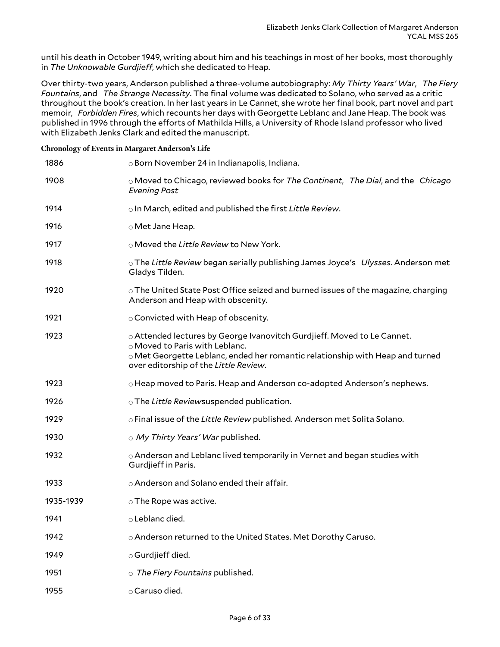until his death in October 1949, writing about him and his teachings in most of her books, most thoroughly in The Unknowable Gurdjieff, which she dedicated to Heap.

Over thirty-two years, Anderson published a three-volume autobiography: *My Thirty Years' War*, *The Fiery Fountains*, and *The Strange Necessity*. The final volume was dedicated to Solano, who served as a critic throughout the book's creation. In her last years in Le Cannet, she wrote her final book, part novel and part memoir, *Forbidden Fires*, which recounts her days with Georgette Leblanc and Jane Heap. The book was published in 1996 through the efforts of Mathilda Hills, a University of Rhode Island professor who lived with Elizabeth Jenks Clark and edited the manuscript.

#### **Chronology of Events in Margaret Anderson's Life**

| 1886      | o Born November 24 in Indianapolis, Indiana.                                                                                                                                                                                        |
|-----------|-------------------------------------------------------------------------------------------------------------------------------------------------------------------------------------------------------------------------------------|
| 1908      | o Moved to Chicago, reviewed books for The Continent, The Dial, and the Chicago<br><b>Evening Post</b>                                                                                                                              |
| 1914      | o In March, edited and published the first Little Review.                                                                                                                                                                           |
| 1916      | o Met Jane Heap.                                                                                                                                                                                                                    |
| 1917      | ○ Moved the Little Review to New York.                                                                                                                                                                                              |
| 1918      | ○ The Little Review began serially publishing James Joyce's Ulysses. Anderson met<br>Gladys Tilden.                                                                                                                                 |
| 1920      | $\circ$ The United State Post Office seized and burned issues of the magazine, charging<br>Anderson and Heap with obscenity.                                                                                                        |
| 1921      | ○ Convicted with Heap of obscenity.                                                                                                                                                                                                 |
| 1923      | o Attended lectures by George Ivanovitch Gurdjieff. Moved to Le Cannet.<br>o Moved to Paris with Leblanc.<br>⊙ Met Georgette Leblanc, ended her romantic relationship with Heap and turned<br>over editorship of the Little Review. |
| 1923      | o Heap moved to Paris. Heap and Anderson co-adopted Anderson's nephews.                                                                                                                                                             |
| 1926      | $\circ$ The Little Reviewsuspended publication.                                                                                                                                                                                     |
| 1929      | o Final issue of the Little Review published. Anderson met Solita Solano.                                                                                                                                                           |
| 1930      | o My Thirty Years' War published.                                                                                                                                                                                                   |
| 1932      | o Anderson and Leblanc lived temporarily in Vernet and began studies with<br>Gurdjieff in Paris.                                                                                                                                    |
| 1933      | o Anderson and Solano ended their affair.                                                                                                                                                                                           |
| 1935-1939 | $\circ$ The Rope was active.                                                                                                                                                                                                        |
| 1941      | $\circ$ Leblanc died.                                                                                                                                                                                                               |
| 1942      | o Anderson returned to the United States. Met Dorothy Caruso.                                                                                                                                                                       |
| 1949      | $\circ$ Gurdjieff died.                                                                                                                                                                                                             |
| 1951      | $\circ$ The Fiery Fountains published.                                                                                                                                                                                              |
| 1955      | o Caruso died.                                                                                                                                                                                                                      |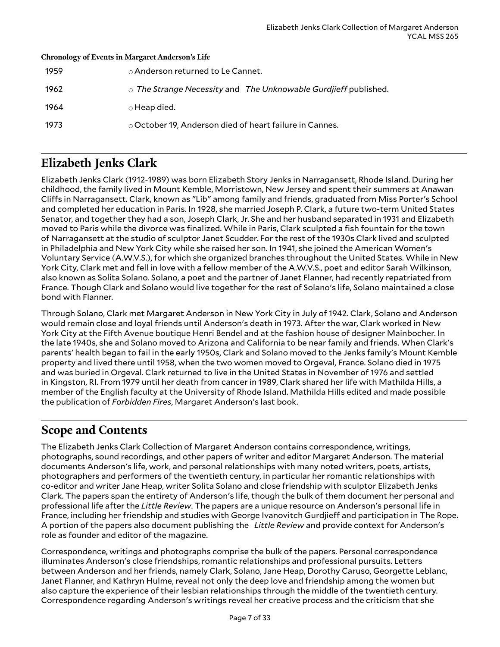| <b>Chronology of Events in Margaret Anderson's Life</b> |                                                                       |  |  |  |
|---------------------------------------------------------|-----------------------------------------------------------------------|--|--|--|
| 1959                                                    | ○ Anderson returned to Le Cannet.                                     |  |  |  |
| 1962                                                    | $\circ$ The Strange Necessity and The Unknowable Gurdjieff published. |  |  |  |
| 1964                                                    | $\circ$ Heap died.                                                    |  |  |  |
| 1973                                                    | $\circ$ October 19, Anderson died of heart failure in Cannes.         |  |  |  |
|                                                         |                                                                       |  |  |  |

### <span id="page-6-0"></span>**Elizabeth Jenks Clark**

Elizabeth Jenks Clark (1912-1989) was born Elizabeth Story Jenks in Narragansett, Rhode Island. During her childhood, the family lived in Mount Kemble, Morristown, New Jersey and spent their summers at Anawan Cliffs in Narragansett. Clark, known as "Lib" among family and friends, graduated from Miss Porter's School and completed her education in Paris. In 1928, she married Joseph P. Clark, a future two-term United States Senator, and together they had a son, Joseph Clark, Jr. She and her husband separated in 1931 and Elizabeth moved to Paris while the divorce was finalized. While in Paris, Clark sculpted a fish fountain for the town of Narragansett at the studio of sculptor Janet Scudder. For the rest of the 1930s Clark lived and sculpted in Philadelphia and New York City while she raised her son. In 1941, she joined the American Women's Voluntary Service (A.W.V.S.), for which she organized branches throughout the United States. While in New York City, Clark met and fell in love with a fellow member of the A.W.V.S., poet and editor Sarah Wilkinson, also known as Solita Solano. Solano, a poet and the partner of Janet Flanner, had recently repatriated from France. Though Clark and Solano would live together for the rest of Solano's life, Solano maintained a close bond with Flanner.

Through Solano, Clark met Margaret Anderson in New York City in July of 1942. Clark, Solano and Anderson would remain close and loyal friends until Anderson's death in 1973. After the war, Clark worked in New York City at the Fifth Avenue boutique Henri Bendel and at the fashion house of designer Mainbocher. In the late 1940s, she and Solano moved to Arizona and California to be near family and friends. When Clark's parents' health began to fail in the early 1950s, Clark and Solano moved to the Jenks family's Mount Kemble property and lived there until 1958, when the two women moved to Orgeval, France. Solano died in 1975 and was buried in Orgeval. Clark returned to live in the United States in November of 1976 and settled in Kingston, RI. From 1979 until her death from cancer in 1989, Clark shared her life with Mathilda Hills, a member of the English faculty at the University of Rhode Island. Mathilda Hills edited and made possible the publication of *Forbidden Fires*, Margaret Anderson's last book.

### <span id="page-6-1"></span>**Scope and Contents**

The Elizabeth Jenks Clark Collection of Margaret Anderson contains correspondence, writings, photographs, sound recordings, and other papers of writer and editor Margaret Anderson. The material documents Anderson's life, work, and personal relationships with many noted writers, poets, artists, photographers and performers of the twentieth century, in particular her romantic relationships with co-editor and writer Jane Heap, writer Solita Solano and close friendship with sculptor Elizabeth Jenks Clark. The papers span the entirety of Anderson's life, though the bulk of them document her personal and professional life after the *Little Review*. The papers are a unique resource on Anderson's personal life in France, including her friendship and studies with George Ivanovitch Gurdjieff and participation in The Rope. A portion of the papers also document publishing the *Little Review* and provide context for Anderson's role as founder and editor of the magazine.

Correspondence, writings and photographs comprise the bulk of the papers. Personal correspondence illuminates Anderson's close friendships, romantic relationships and professional pursuits. Letters between Anderson and her friends, namely Clark, Solano, Jane Heap, Dorothy Caruso, Georgette Leblanc, Janet Flanner, and Kathryn Hulme, reveal not only the deep love and friendship among the women but also capture the experience of their lesbian relationships through the middle of the twentieth century. Correspondence regarding Anderson's writings reveal her creative process and the criticism that she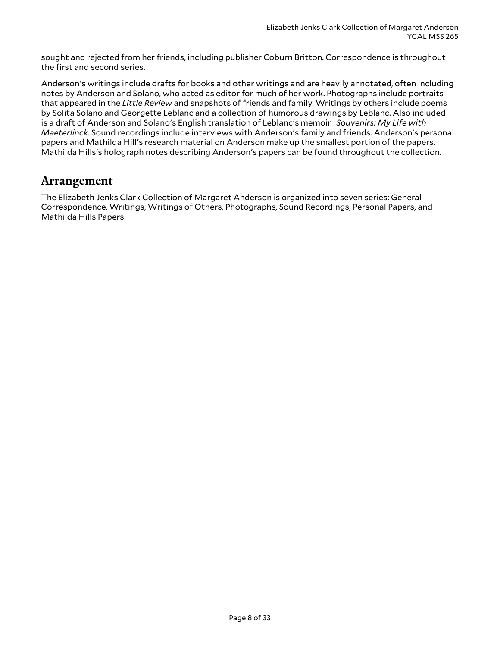sought and rejected from her friends, including publisher Coburn Britton. Correspondence is throughout the first and second series.

Anderson's writings include drafts for books and other writings and are heavily annotated, often including notes by Anderson and Solano, who acted as editor for much of her work. Photographs include portraits that appeared in the *Little Review* and snapshots of friends and family. Writings by others include poems by Solita Solano and Georgette Leblanc and a collection of humorous drawings by Leblanc. Also included is a draft of Anderson and Solano's English translation of Leblanc's memoir *Souvenirs: My Life with Maeterlinck*. Sound recordings include interviews with Anderson's family and friends. Anderson's personal papers and Mathilda Hill's research material on Anderson make up the smallest portion of the papers. Mathilda Hills's holograph notes describing Anderson's papers can be found throughout the collection.

### <span id="page-7-0"></span>**Arrangement**

The Elizabeth Jenks Clark Collection of Margaret Anderson is organized into seven series: General Correspondence, Writings, Writings of Others, Photographs, Sound Recordings, Personal Papers, and Mathilda Hills Papers.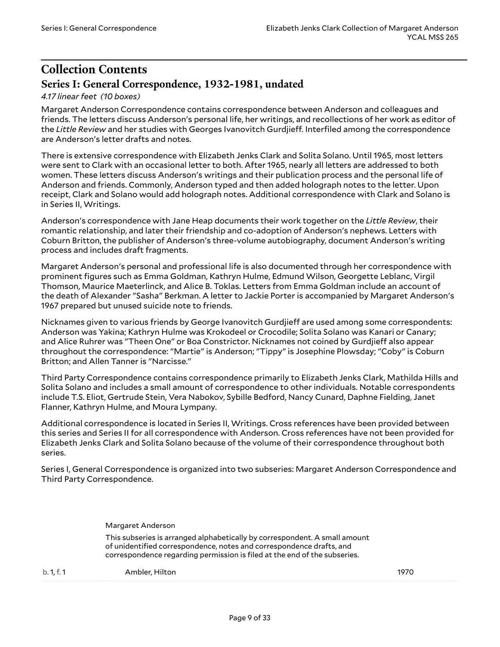### <span id="page-8-0"></span>**Collection Contents Series I: General Correspondence, 1932-1981, undated**

#### <span id="page-8-1"></span>*4.17 linear feet (10 boxes)*

Margaret Anderson Correspondence contains correspondence between Anderson and colleagues and friends. The letters discuss Anderson's personal life, her writings, and recollections of her work as editor of the Little Review and her studies with Georges Ivanovitch Gurdjieff. Interfiled among the correspondence are Anderson's letter drafts and notes.

There is extensive correspondence with Elizabeth Jenks Clark and Solita Solano. Until 1965, most letters were sent to Clark with an occasional letter to both. After 1965, nearly all letters are addressed to both women. These letters discuss Anderson's writings and their publication process and the personal life of Anderson and friends. Commonly, Anderson typed and then added holograph notes to the letter. Upon receipt, Clark and Solano would add holograph notes. Additional correspondence with Clark and Solano is in Series II, Writings.

Anderson's correspondence with Jane Heap documents their work together on the *Little Review*, their romantic relationship, and later their friendship and co-adoption of Anderson's nephews. Letters with Coburn Britton, the publisher of Anderson's three-volume autobiography, document Anderson's writing process and includes draft fragments.

Margaret Anderson's personal and professional life is also documented through her correspondence with prominent figures such as Emma Goldman, Kathryn Hulme, Edmund Wilson, Georgette Leblanc, Virgil Thomson, Maurice Maeterlinck, and Alice B. Toklas. Letters from Emma Goldman include an account of the death of Alexander "Sasha" Berkman. A letter to Jackie Porter is accompanied by Margaret Anderson's 1967 prepared but unused suicide note to friends.

Nicknames given to various friends by George Ivanovitch Gurdjieff are used among some correspondents: Anderson was Yakina; Kathryn Hulme was Krokodeel or Crocodile; Solita Solano was Kanari or Canary; and Alice Ruhrer was "Theen One" or Boa Constrictor. Nicknames not coined by Gurdjieff also appear throughout the correspondence: "Martie" is Anderson; "Tippy" is Josephine Plowsday; "Coby" is Coburn Britton; and Allen Tanner is "Narcisse."

Third Party Correspondence contains correspondence primarily to Elizabeth Jenks Clark, Mathilda Hills and Solita Solano and includes a small amount of correspondence to other individuals. Notable correspondents include T.S. Eliot, Gertrude Stein, Vera Nabokov, Sybille Bedford, Nancy Cunard, Daphne Fielding, Janet Flanner, Kathryn Hulme, and Moura Lympany.

Additional correspondence is located in Series II, Writings. Cross references have been provided between this series and Series II for all correspondence with Anderson. Cross references have not been provided for Elizabeth Jenks Clark and Solita Solano because of the volume of their correspondence throughout both series.

Series I, General Correspondence is organized into two subseries: Margaret Anderson Correspondence and Third Party Correspondence.

<span id="page-8-2"></span>Margaret Anderson

This subseries is arranged alphabetically by correspondent. A small amount of unidentified correspondence, notes and correspondence drafts, and correspondence regarding permission is filed at the end of the subseries.

b. 1, f. 1 Ambler, Hilton 1970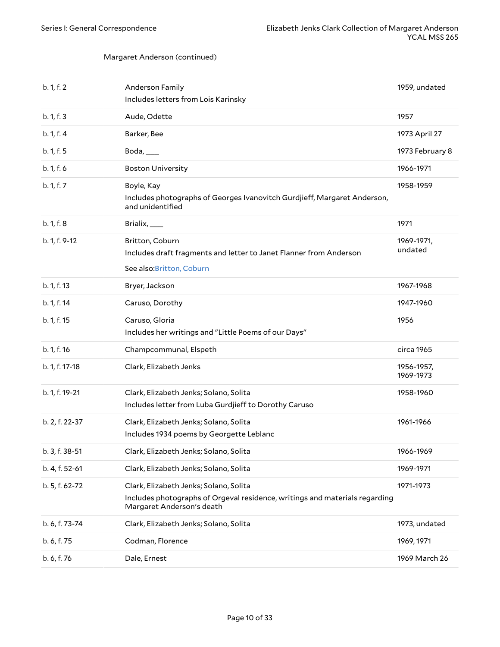<span id="page-9-1"></span><span id="page-9-0"></span>

| b. 1, f. 2     | Anderson Family<br>Includes letters from Lois Karinsky                                                                                             | 1959, undated           |
|----------------|----------------------------------------------------------------------------------------------------------------------------------------------------|-------------------------|
| b. 1, f. 3     | Aude, Odette                                                                                                                                       | 1957                    |
| b. 1, f. 4     | Barker, Bee                                                                                                                                        | 1973 April 27           |
| b. 1, f. 5     | Boda,                                                                                                                                              | 1973 February 8         |
| b. 1, f. 6     | <b>Boston University</b>                                                                                                                           | 1966-1971               |
| b. 1, f. 7     | Boyle, Kay<br>Includes photographs of Georges Ivanovitch Gurdjieff, Margaret Anderson,<br>and unidentified                                         | 1958-1959               |
| b. 1, f. 8     | Brialix, $\_\_\_\_\$                                                                                                                               | 1971                    |
| b. 1, f. 9-12  | Britton, Coburn<br>Includes draft fragments and letter to Janet Flanner from Anderson<br>See also: Britton, Coburn                                 | 1969-1971,<br>undated   |
| b. 1, f. 13    | Bryer, Jackson                                                                                                                                     | 1967-1968               |
| b. 1, f. 14    | Caruso, Dorothy                                                                                                                                    | 1947-1960               |
| b. 1, f. 15    | Caruso, Gloria<br>Includes her writings and "Little Poems of our Days"                                                                             | 1956                    |
| b. 1, f. 16    | Champcommunal, Elspeth                                                                                                                             | circa 1965              |
| b. 1, f. 17-18 | Clark, Elizabeth Jenks                                                                                                                             | 1956-1957,<br>1969-1973 |
| b. 1, f. 19-21 | Clark, Elizabeth Jenks; Solano, Solita<br>Includes letter from Luba Gurdjieff to Dorothy Caruso                                                    | 1958-1960               |
| b. 2, f. 22-37 | Clark, Elizabeth Jenks; Solano, Solita<br>Includes 1934 poems by Georgette Leblanc                                                                 | 1961-1966               |
| b. 3, f. 38-51 | Clark, Elizabeth Jenks; Solano, Solita                                                                                                             | 1966-1969               |
| b. 4, f. 52-61 | Clark, Elizabeth Jenks; Solano, Solita                                                                                                             | 1969-1971               |
| b. 5, f. 62-72 | Clark, Elizabeth Jenks; Solano, Solita<br>Includes photographs of Orgeval residence, writings and materials regarding<br>Margaret Anderson's death | 1971-1973               |
| b. 6, f. 73-74 | Clark, Elizabeth Jenks; Solano, Solita                                                                                                             | 1973, undated           |
| b. 6, f. 75    | Codman, Florence                                                                                                                                   | 1969, 1971              |
| b. 6, f. 76    | Dale, Ernest                                                                                                                                       | 1969 March 26           |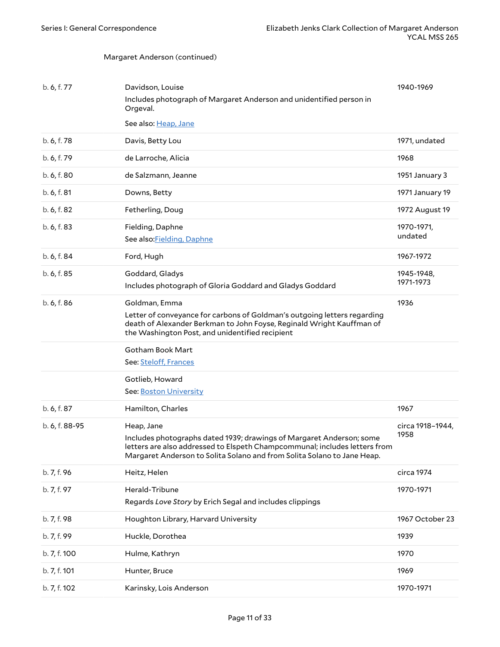<span id="page-10-0"></span>

| b. 7, f. 100<br>b. 7, f. 101 | Hulme, Kathryn<br>Hunter, Bruce                                                                                                                                                                                          | 1970<br>1969             |
|------------------------------|--------------------------------------------------------------------------------------------------------------------------------------------------------------------------------------------------------------------------|--------------------------|
|                              |                                                                                                                                                                                                                          |                          |
|                              |                                                                                                                                                                                                                          |                          |
| b. 7, f. 99                  | Huckle, Dorothea                                                                                                                                                                                                         | 1939                     |
| b. 7, f. 98                  | Houghton Library, Harvard University                                                                                                                                                                                     | 1967 October 23          |
| b. 7, f. 97                  | Herald-Tribune<br>Regards Love Story by Erich Segal and includes clippings                                                                                                                                               | 1970-1971                |
| b. 7, f. 96                  | Heitz, Helen                                                                                                                                                                                                             | circa 1974               |
|                              | letters are also addressed to Elspeth Champcommunal; includes letters from<br>Margaret Anderson to Solita Solano and from Solita Solano to Jane Heap.                                                                    |                          |
| b. 6, f. 88-95               | Heap, Jane<br>Includes photographs dated 1939; drawings of Margaret Anderson; some                                                                                                                                       | circa 1918-1944,<br>1958 |
| b. 6, f. 87                  | Hamilton, Charles                                                                                                                                                                                                        | 1967                     |
|                              | See: Boston University                                                                                                                                                                                                   |                          |
|                              | Gotlieb, Howard                                                                                                                                                                                                          |                          |
|                              | See: Steloff, Frances                                                                                                                                                                                                    |                          |
|                              | Letter of conveyance for carbons of Goldman's outgoing letters regarding<br>death of Alexander Berkman to John Foyse, Reginald Wright Kauffman of<br>the Washington Post, and unidentified recipient<br>Gotham Book Mart |                          |
| b. 6, f. 86                  | Goldman, Emma                                                                                                                                                                                                            | 1936                     |
|                              | Includes photograph of Gloria Goddard and Gladys Goddard                                                                                                                                                                 | 1971-1973                |
| b. 6, f. 85                  | Goddard, Gladys                                                                                                                                                                                                          | 1945-1948,               |
| b. 6, f. 84                  | Ford, Hugh                                                                                                                                                                                                               | 1967-1972                |
| b. 6, f. 83                  | Fielding, Daphne<br>See also: Fielding, Daphne                                                                                                                                                                           | 1970-1971,<br>undated    |
| b. 6, f. 82                  | Fetherling, Doug                                                                                                                                                                                                         | 1972 August 19           |
| b. 6, f. 81                  | Downs, Betty                                                                                                                                                                                                             | 1971 January 19          |
| b. 6, f. 80                  | de Salzmann, Jeanne                                                                                                                                                                                                      | 1951 January 3           |
| b. 6, f. 79                  | de Larroche, Alicia                                                                                                                                                                                                      | 1968                     |
| b. 6, f. 78                  | Davis, Betty Lou                                                                                                                                                                                                         | 1971, undated            |
|                              | Orgeval.<br>See also: Heap, Jane                                                                                                                                                                                         |                          |
|                              | Includes photograph of Margaret Anderson and unidentified person in                                                                                                                                                      |                          |
| b. 6, f. 77                  | Davidson, Louise                                                                                                                                                                                                         | 1940-1969                |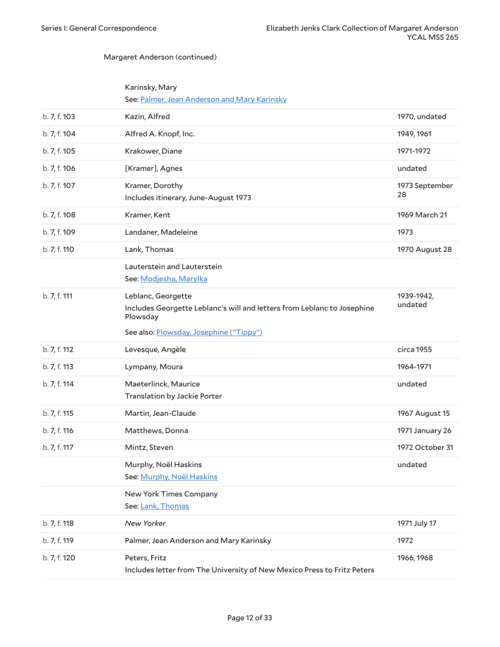| Karinsky, Mary                               |  |
|----------------------------------------------|--|
| See: Palmer, Jean Anderson and Mary Karinsky |  |

<span id="page-11-2"></span><span id="page-11-1"></span><span id="page-11-0"></span>

| b. 7, f. 103 | Kazin, Alfred                                                                                             | 1970, undated         |
|--------------|-----------------------------------------------------------------------------------------------------------|-----------------------|
| b. 7, f. 104 | Alfred A. Knopf, Inc.                                                                                     | 1949, 1961            |
| b. 7, f. 105 | Krakower, Diane                                                                                           | 1971-1972             |
| b. 7, f. 106 | [Kramer], Agnes                                                                                           | undated               |
| b. 7, f. 107 | Kramer, Dorothy<br>Includes itinerary, June-August 1973                                                   | 1973 September<br>28  |
| b. 7, f. 108 | Kramer, Kent                                                                                              | 1969 March 21         |
| b. 7, f. 109 | Landaner, Madeleine                                                                                       | 1973                  |
| b. 7, f. 110 | Lank, Thomas                                                                                              | 1970 August 28        |
|              | Lauterstein and Lauterstein<br>See: Modjesha, Marylka                                                     |                       |
| b. 7, f. 111 | Leblanc, Georgette<br>Includes Georgette Leblanc's will and letters from Leblanc to Josephine<br>Plowsday | 1939-1942,<br>undated |
|              | See also: Plowsday, Josephine ("Tippy")                                                                   |                       |
| b. 7, f. 112 | Levesque, Angèle                                                                                          | circa 1955            |
| b. 7, f. 113 | Lympany, Moura                                                                                            | 1964-1971             |
| b. 7, f. 114 | Maeterlinck, Maurice<br>Translation by Jackie Porter                                                      | undated               |
| b. 7, f. 115 | Martin, Jean-Claude                                                                                       | 1967 August 15        |
| b. 7, f. 116 | Matthews, Donna                                                                                           | 1971 January 26       |
| b. 7, f. 117 | Mintz, Steven                                                                                             | 1972 October 31       |
|              | Murphy, Noël Haskins<br>See: Murphy, Noël Haskins                                                         | undated               |
|              | New York Times Company<br>See: Lank, Thomas                                                               |                       |
| b. 7, f. 118 | New Yorker                                                                                                | 1971 July 17          |
| b. 7, f. 119 | Palmer, Jean Anderson and Mary Karinsky                                                                   | 1972                  |
| b. 7, f. 120 | Peters, Fritz                                                                                             | 1966, 1968            |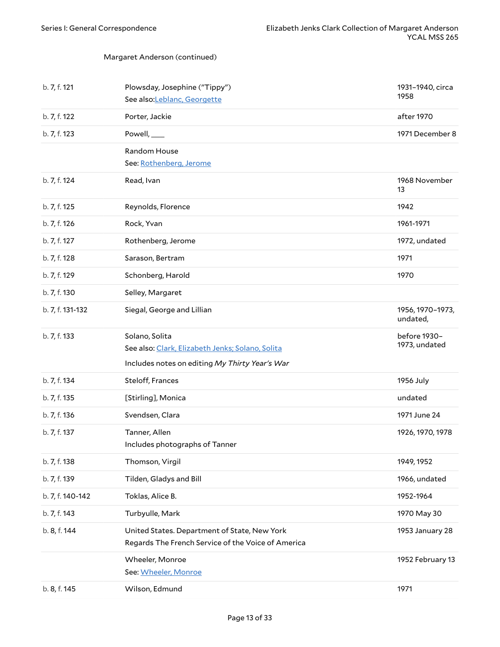<span id="page-12-2"></span><span id="page-12-1"></span><span id="page-12-0"></span>

| b. 7, f. 121     | Plowsday, Josephine ("Tippy")<br>See also:Leblanc, Georgette                                                         | 1931-1940, circa<br>1958      |
|------------------|----------------------------------------------------------------------------------------------------------------------|-------------------------------|
| b. 7, f. 122     | Porter, Jackie                                                                                                       | after 1970                    |
| b. 7, f. 123     | Powell, ____                                                                                                         | 1971 December 8               |
|                  | <b>Random House</b><br>See: Rothenberg, Jerome                                                                       |                               |
| b. 7, f. 124     | Read, Ivan                                                                                                           | 1968 November<br>13           |
| b. 7, f. 125     | Reynolds, Florence                                                                                                   | 1942                          |
| b. 7, f. 126     | Rock, Yvan                                                                                                           | 1961-1971                     |
| b. 7, f. 127     | Rothenberg, Jerome                                                                                                   | 1972, undated                 |
| b. 7, f. 128     | Sarason, Bertram                                                                                                     | 1971                          |
| b. 7, f. 129     | Schonberg, Harold                                                                                                    | 1970                          |
| b. 7, f. 130     | Selley, Margaret                                                                                                     |                               |
| b. 7, f. 131-132 | Siegal, George and Lillian                                                                                           | 1956, 1970-1973,<br>undated,  |
| b. 7, f. 133     | Solano, Solita<br>See also: Clark, Elizabeth Jenks; Solano, Solita<br>Includes notes on editing My Thirty Year's War | before 1930-<br>1973, undated |
| b. 7, f. 134     | Steloff, Frances                                                                                                     | 1956 July                     |
| b. 7, f. 135     | [Stirling], Monica                                                                                                   | undated                       |
| b. 7, f. 136     | Svendsen, Clara                                                                                                      | 1971 June 24                  |
| b. 7, f. 137     | Tanner, Allen<br>Includes photographs of Tanner                                                                      | 1926, 1970, 1978              |
| b. 7, f. 138     | Thomson, Virgil                                                                                                      | 1949, 1952                    |
| b. 7, f. 139     | Tilden, Gladys and Bill                                                                                              | 1966, undated                 |
| b. 7, f. 140-142 | Toklas, Alice B.                                                                                                     | 1952-1964                     |
| b. 7, f. 143     | Turbyulle, Mark                                                                                                      | 1970 May 30                   |
| b. 8, f. 144     | United States. Department of State, New York<br>Regards The French Service of the Voice of America                   | 1953 January 28               |
|                  | Wheeler, Monroe<br>See: Wheeler, Monroe                                                                              | 1952 February 13              |
| b. 8, f. 145     | Wilson, Edmund                                                                                                       | 1971                          |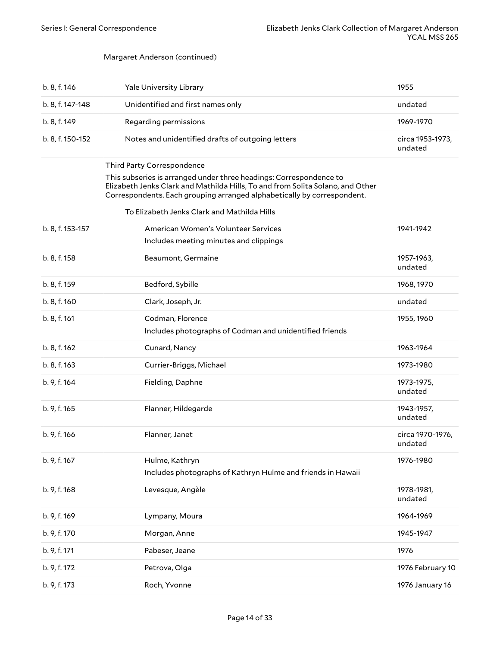<span id="page-13-1"></span><span id="page-13-0"></span>

| b. 8, f. 146     | <b>Yale University Library</b>                                                                                                                                                                                                  | 1955                        |
|------------------|---------------------------------------------------------------------------------------------------------------------------------------------------------------------------------------------------------------------------------|-----------------------------|
| b. 8, f. 147-148 | Unidentified and first names only                                                                                                                                                                                               | undated                     |
| b. 8, f. 149     | Regarding permissions                                                                                                                                                                                                           | 1969-1970                   |
| b. 8, f. 150-152 | Notes and unidentified drafts of outgoing letters                                                                                                                                                                               | circa 1953-1973,<br>undated |
|                  | Third Party Correspondence                                                                                                                                                                                                      |                             |
|                  | This subseries is arranged under three headings: Correspondence to<br>Elizabeth Jenks Clark and Mathilda Hills, To and from Solita Solano, and Other<br>Correspondents. Each grouping arranged alphabetically by correspondent. |                             |
|                  | To Elizabeth Jenks Clark and Mathilda Hills                                                                                                                                                                                     |                             |
| b. 8, f. 153-157 | American Women's Volunteer Services                                                                                                                                                                                             | 1941-1942                   |
|                  | Includes meeting minutes and clippings                                                                                                                                                                                          |                             |
| b. 8, f. 158     | Beaumont, Germaine                                                                                                                                                                                                              | 1957-1963,<br>undated       |
| b. 8, f. 159     | Bedford, Sybille                                                                                                                                                                                                                | 1968, 1970                  |
| b. 8, f. 160     | Clark, Joseph, Jr.                                                                                                                                                                                                              | undated                     |
| b. 8, f. 161     | Codman, Florence<br>Includes photographs of Codman and unidentified friends                                                                                                                                                     | 1955, 1960                  |
| b. 8, f. 162     | Cunard, Nancy                                                                                                                                                                                                                   | 1963-1964                   |
| b. 8, f. 163     | Currier-Briggs, Michael                                                                                                                                                                                                         | 1973-1980                   |
| b. 9, f. 164     | Fielding, Daphne                                                                                                                                                                                                                | 1973-1975,<br>undated       |
| b. 9, f. 165     | Flanner, Hildegarde                                                                                                                                                                                                             | 1943-1957,<br>undated       |
| b. 9, f. 166     | Flanner, Janet                                                                                                                                                                                                                  | circa 1970-1976,<br>undated |
| b. 9, f. 167     | Hulme, Kathryn<br>Includes photographs of Kathryn Hulme and friends in Hawaii                                                                                                                                                   | 1976-1980                   |
| b. 9, f. 168     | Levesque, Angèle                                                                                                                                                                                                                | 1978-1981,<br>undated       |
| b. 9, f. 169     | Lympany, Moura                                                                                                                                                                                                                  | 1964-1969                   |
| b. 9, f. 170     | Morgan, Anne                                                                                                                                                                                                                    | 1945-1947                   |
| b. 9, f. 171     | Pabeser, Jeane                                                                                                                                                                                                                  | 1976                        |
| b. 9, f. 172     | Petrova, Olga                                                                                                                                                                                                                   | 1976 February 10            |
| b. 9, f. 173     | Roch, Yvonne                                                                                                                                                                                                                    | 1976 January 16             |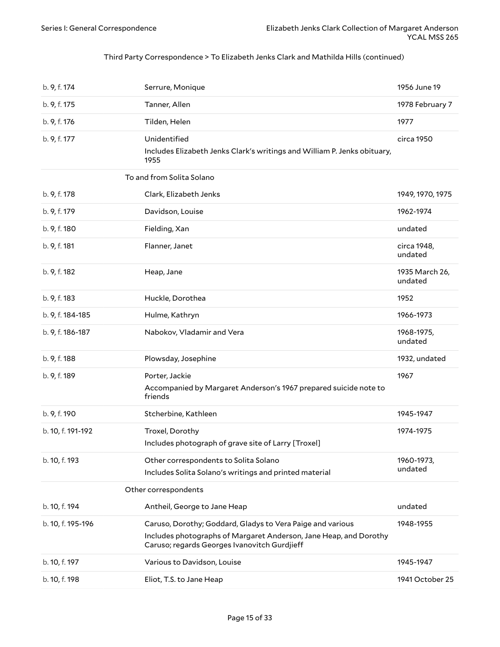#### Third Party Correspondence > To Elizabeth Jenks Clark and Mathilda Hills (continued)

<span id="page-14-2"></span><span id="page-14-1"></span><span id="page-14-0"></span>

| b. 9, f. 174      | Serrure, Monique                                                                                                                                                                | 1956 June 19              |
|-------------------|---------------------------------------------------------------------------------------------------------------------------------------------------------------------------------|---------------------------|
| b. 9, f. 175      | Tanner, Allen                                                                                                                                                                   | 1978 February 7           |
| b. 9, f. 176      | Tilden, Helen                                                                                                                                                                   | 1977                      |
| b. 9, f. 177      | Unidentified<br>Includes Elizabeth Jenks Clark's writings and William P. Jenks obituary,<br>1955                                                                                | circa 1950                |
|                   | To and from Solita Solano                                                                                                                                                       |                           |
| b. 9, f. 178      | Clark, Elizabeth Jenks                                                                                                                                                          | 1949, 1970, 1975          |
| b. 9, f. 179      | Davidson, Louise                                                                                                                                                                | 1962-1974                 |
| b. 9, f. 180      | Fielding, Xan                                                                                                                                                                   | undated                   |
| b. 9, f. 181      | Flanner, Janet                                                                                                                                                                  | circa 1948,<br>undated    |
| b. 9, f. 182      | Heap, Jane                                                                                                                                                                      | 1935 March 26,<br>undated |
| b. 9, f. 183      | Huckle, Dorothea                                                                                                                                                                | 1952                      |
| b. 9, f. 184-185  | Hulme, Kathryn                                                                                                                                                                  | 1966-1973                 |
| b. 9, f. 186-187  | Nabokov, Vladamir and Vera                                                                                                                                                      | 1968-1975,<br>undated     |
| b. 9, f. 188      | Plowsday, Josephine                                                                                                                                                             | 1932, undated             |
| b. 9, f. 189      | Porter, Jackie                                                                                                                                                                  | 1967                      |
|                   | Accompanied by Margaret Anderson's 1967 prepared suicide note to<br>friends                                                                                                     |                           |
| b. 9, f. 190      | Stcherbine, Kathleen                                                                                                                                                            | 1945-1947                 |
| b. 10, f. 191-192 | Troxel, Dorothy<br>Includes photograph of grave site of Larry [Troxel]                                                                                                          | 1974-1975                 |
| b. 10, f. 193     | Other correspondents to Solita Solano<br>Includes Solita Solano's writings and printed material                                                                                 | 1960-1973,<br>undated     |
|                   | Other correspondents                                                                                                                                                            |                           |
| b. 10, f. 194     | Antheil, George to Jane Heap                                                                                                                                                    | undated                   |
| b. 10, f. 195-196 | Caruso, Dorothy; Goddard, Gladys to Vera Paige and various<br>Includes photographs of Margaret Anderson, Jane Heap, and Dorothy<br>Caruso; regards Georges Ivanovitch Gurdjieff | 1948-1955                 |
| b. 10, f. 197     | Various to Davidson, Louise                                                                                                                                                     | 1945-1947                 |
| b. 10, f. 198     | Eliot, T.S. to Jane Heap                                                                                                                                                        | 1941 October 25           |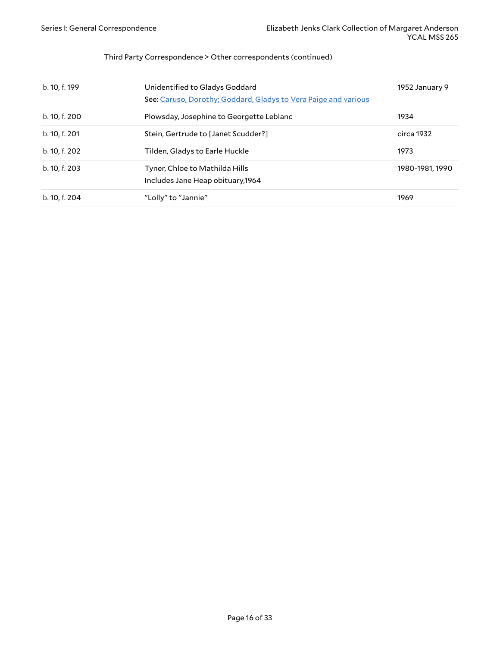#### Third Party Correspondence > Other correspondents (continued)

| b. 10, f. 199 | Unidentified to Gladys Goddard<br>See: Caruso, Dorothy; Goddard, Gladys to Vera Paige and various | 1952 January 9  |
|---------------|---------------------------------------------------------------------------------------------------|-----------------|
| b. 10, f. 200 | Plowsday, Josephine to Georgette Leblanc                                                          | 1934            |
| b. 10, f. 201 | Stein, Gertrude to [Janet Scudder?]                                                               | circa 1932      |
| b. 10, f. 202 | Tilden, Gladys to Earle Huckle                                                                    | 1973            |
| b. 10, f. 203 | Tyner, Chloe to Mathilda Hills<br>Includes Jane Heap obituary, 1964                               | 1980-1981, 1990 |
| b. 10, f. 204 | "Lolly" to "Jannie"                                                                               | 1969            |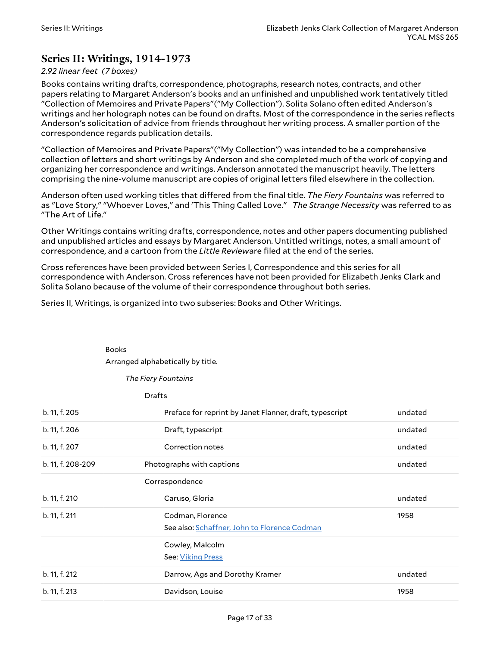### <span id="page-16-0"></span>**Series II: Writings, 1914-1973**

#### *2.92 linear feet (7 boxes)*

Books contains writing drafts, correspondence, photographs, research notes, contracts, and other papers relating to Margaret Anderson's books and an unfinished and unpublished work tentatively titled "Collection of Memoires and Private Papers"("My Collection"). Solita Solano often edited Anderson's writings and her holograph notes can be found on drafts. Most of the correspondence in the series reflects Anderson's solicitation of advice from friends throughout her writing process. A smaller portion of the correspondence regards publication details.

"Collection of Memoires and Private Papers"("My Collection") was intended to be a comprehensive collection of letters and short writings by Anderson and she completed much of the work of copying and organizing her correspondence and writings. Anderson annotated the manuscript heavily. The letters comprising the nine-volume manuscript are copies of original letters filed elsewhere in the collection.

Anderson often used working titles that differed from the final title. *The Fiery Fountains* was referred to as "Love Story," "Whoever Loves," and 'This Thing Called Love." *The Strange Necessity* was referred to as "The Art of Life."

Other Writings contains writing drafts, correspondence, notes and other papers documenting published and unpublished articles and essays by Margaret Anderson. Untitled writings, notes, a small amount of correspondence, and a cartoon from the *Little Review*are filed at the end of the series.

Cross references have been provided between Series I, Correspondence and this series for all correspondence with Anderson. Cross references have not been provided for Elizabeth Jenks Clark and Solita Solano because of the volume of their correspondence throughout both series.

Series II, Writings, is organized into two subseries: Books and Other Writings.

<span id="page-16-1"></span>

| <b>Books</b> |                                   |
|--------------|-----------------------------------|
|              | Arranged alphabetically by title. |

*The Fiery Fountains*

Drafts

<span id="page-16-3"></span><span id="page-16-2"></span>

| b. 11, f. 205     | Preface for reprint by Janet Flanner, draft, typescript          | undated |
|-------------------|------------------------------------------------------------------|---------|
| b. 11, f. 206     | Draft, typescript                                                | undated |
| b. 11, f. 207     | Correction notes                                                 | undated |
| b. 11, f. 208-209 | Photographs with captions                                        | undated |
|                   | Correspondence                                                   |         |
| b. 11, f. 210     | Caruso, Gloria                                                   | undated |
| b. 11, f. 211     | Codman, Florence<br>See also: Schaffner, John to Florence Codman | 1958    |
|                   | Cowley, Malcolm<br>See: Viking Press                             |         |
| b. 11, f. 212     | Darrow, Ags and Dorothy Kramer                                   | undated |
| b. 11, f. 213     | Davidson, Louise                                                 | 1958    |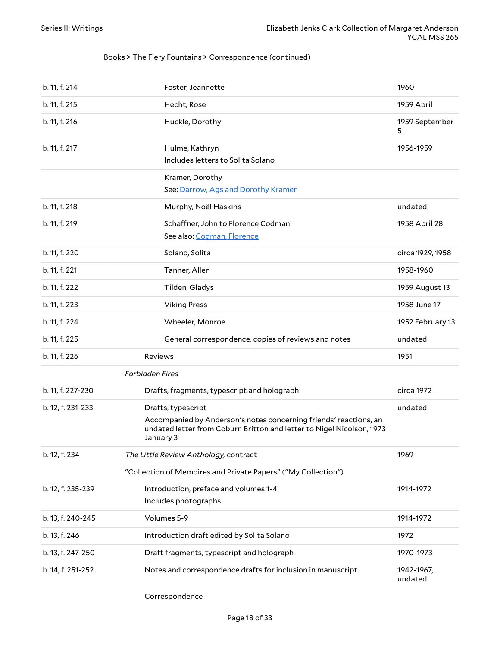#### Books > The Fiery Fountains > Correspondence (continued)

<span id="page-17-3"></span><span id="page-17-2"></span><span id="page-17-1"></span><span id="page-17-0"></span>

| b. 11, f. 214          | Foster, Jeannette                                                                                                                                                             | 1960                  |
|------------------------|-------------------------------------------------------------------------------------------------------------------------------------------------------------------------------|-----------------------|
| b. 11, f. 215          | Hecht, Rose                                                                                                                                                                   | 1959 April            |
| b. 11, f. 216          | Huckle, Dorothy                                                                                                                                                               | 1959 September<br>5   |
| b. 11, f. 217          | Hulme, Kathryn<br>Includes letters to Solita Solano                                                                                                                           | 1956-1959             |
|                        | Kramer, Dorothy<br>See: Darrow, Ags and Dorothy Kramer                                                                                                                        |                       |
| b. 11, f. 218          | Murphy, Noël Haskins                                                                                                                                                          | undated               |
| b. 11, f. 219          | Schaffner, John to Florence Codman<br>See also: Codman, Florence                                                                                                              | 1958 April 28         |
| b. 11, f. 220          | Solano, Solita                                                                                                                                                                | circa 1929, 1958      |
| b. 11, f. 221          | Tanner, Allen                                                                                                                                                                 | 1958-1960             |
| b. 11, f. 222          | Tilden, Gladys                                                                                                                                                                | 1959 August 13        |
| b. 11, f. 223          | <b>Viking Press</b>                                                                                                                                                           | 1958 June 17          |
| b. 11, f. 224          | Wheeler, Monroe                                                                                                                                                               | 1952 February 13      |
| b. 11, f. 225          | General correspondence, copies of reviews and notes                                                                                                                           | undated               |
| b. 11, f. 226          | <b>Reviews</b>                                                                                                                                                                | 1951                  |
| <b>Forbidden Fires</b> |                                                                                                                                                                               |                       |
| b. 11, f. 227-230      | Drafts, fragments, typescript and holograph                                                                                                                                   | circa 1972            |
| b. 12, f. 231-233      | Drafts, typescript<br>Accompanied by Anderson's notes concerning friends' reactions, an<br>undated letter from Coburn Britton and letter to Nigel Nicolson, 1973<br>January 3 | undated               |
| b. 12, f. 234          | The Little Review Anthology, contract                                                                                                                                         | 1969                  |
|                        | "Collection of Memoires and Private Papers" ("My Collection")                                                                                                                 |                       |
| b. 12, f. 235-239      | Introduction, preface and volumes 1-4<br>Includes photographs                                                                                                                 | 1914-1972             |
| b. 13, f. 240-245      | Volumes 5-9                                                                                                                                                                   | 1914-1972             |
| b. 13, f. 246          | Introduction draft edited by Solita Solano                                                                                                                                    | 1972                  |
| b. 13, f. 247-250      | Draft fragments, typescript and holograph                                                                                                                                     | 1970-1973             |
| b. 14, f. 251-252      | Notes and correspondence drafts for inclusion in manuscript                                                                                                                   | 1942-1967,<br>undated |

Correspondence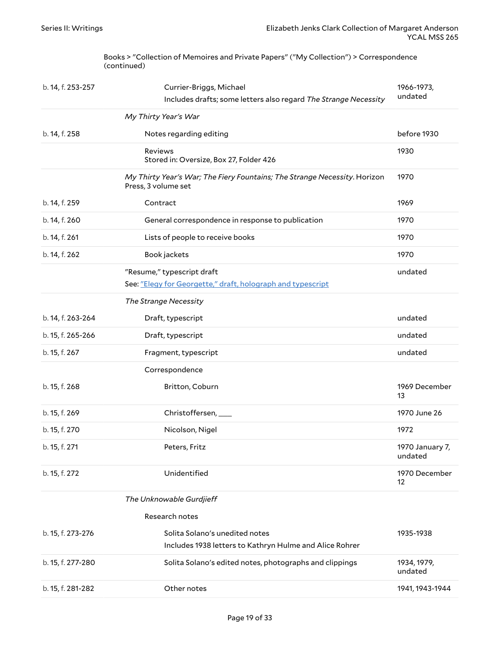Books > "Collection of Memoires and Private Papers" ("My Collection") > Correspondence (continued)

<span id="page-18-0"></span>

| b. 14, f. 253-257 | Currier-Briggs, Michael<br>Includes drafts; some letters also regard The Strange Necessity       | 1966-1973,<br>undated      |
|-------------------|--------------------------------------------------------------------------------------------------|----------------------------|
|                   | My Thirty Year's War                                                                             |                            |
| b. 14, f. 258     | Notes regarding editing                                                                          | before 1930                |
|                   | Reviews<br>Stored in: Oversize, Box 27, Folder 426                                               | 1930                       |
|                   | My Thirty Year's War; The Fiery Fountains; The Strange Necessity. Horizon<br>Press, 3 volume set | 1970                       |
| b. 14, f. 259     | Contract                                                                                         | 1969                       |
| b. 14, f. 260     | General correspondence in response to publication                                                | 1970                       |
| b. 14, f. 261     | Lists of people to receive books                                                                 | 1970                       |
| b. 14, f. 262     | Book jackets                                                                                     | 1970                       |
|                   | "Resume," typescript draft                                                                       | undated                    |
|                   | See: "Elegy for Georgette," draft, holograph and typescript                                      |                            |
|                   | The Strange Necessity                                                                            |                            |
| b. 14, f. 263-264 | Draft, typescript                                                                                | undated                    |
| b. 15, f. 265-266 | Draft, typescript                                                                                | undated                    |
| b. 15, f. 267     | Fragment, typescript                                                                             | undated                    |
|                   | Correspondence                                                                                   |                            |
| b. 15, f. 268     | Britton, Coburn                                                                                  | 1969 December<br>13        |
| b. 15, f. 269     | Christoffersen, ___                                                                              | 1970 June 26               |
| b. 15, f. 270     | Nicolson, Nigel                                                                                  | 1972                       |
| b. 15, f. 271     | Peters, Fritz                                                                                    | 1970 January 7,<br>undated |
| b. 15, f. 272     | Unidentified                                                                                     | 1970 December<br>12        |
|                   | The Unknowable Gurdjieff                                                                         |                            |
|                   | Research notes                                                                                   |                            |
| b. 15, f. 273-276 | Solita Solano's unedited notes<br>Includes 1938 letters to Kathryn Hulme and Alice Rohrer        | 1935-1938                  |
| b. 15, f. 277-280 | Solita Solano's edited notes, photographs and clippings                                          | 1934, 1979,<br>undated     |
| b. 15, f. 281-282 | Other notes                                                                                      | 1941, 1943-1944            |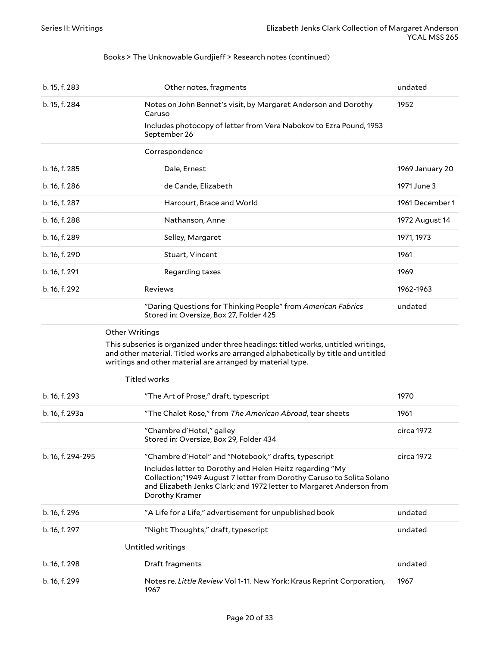#### Books > The Unknowable Gurdjieff > Research notes (continued)

<span id="page-19-0"></span>

| b. 15, f. 283     | Other notes, fragments                                                                                                                                                                                                                 | undated         |
|-------------------|----------------------------------------------------------------------------------------------------------------------------------------------------------------------------------------------------------------------------------------|-----------------|
| b. 15, f. 284     | Notes on John Bennet's visit, by Margaret Anderson and Dorothy<br>Caruso                                                                                                                                                               | 1952            |
|                   | Includes photocopy of letter from Vera Nabokov to Ezra Pound, 1953<br>September 26                                                                                                                                                     |                 |
|                   | Correspondence                                                                                                                                                                                                                         |                 |
| b. 16, f. 285     | Dale, Ernest                                                                                                                                                                                                                           | 1969 January 20 |
| b. 16, f. 286     | de Cande, Elizabeth                                                                                                                                                                                                                    | 1971 June 3     |
| b. 16, f. 287     | Harcourt, Brace and World                                                                                                                                                                                                              | 1961 December 1 |
| b. 16, f. 288     | Nathanson, Anne                                                                                                                                                                                                                        | 1972 August 14  |
| b. 16, f. 289     | Selley, Margaret                                                                                                                                                                                                                       | 1971, 1973      |
| b. 16, f. 290     | Stuart, Vincent                                                                                                                                                                                                                        | 1961            |
| b. 16, f. 291     | Regarding taxes                                                                                                                                                                                                                        | 1969            |
| b. 16, f. 292     | <b>Reviews</b>                                                                                                                                                                                                                         | 1962-1963       |
|                   | "Daring Questions for Thinking People" from American Fabrics<br>Stored in: Oversize, Box 27, Folder 425                                                                                                                                | undated         |
|                   | Other Writings                                                                                                                                                                                                                         |                 |
|                   | This subseries is organized under three headings: titled works, untitled writings,<br>and other material. Titled works are arranged alphabetically by title and untitled<br>writings and other material are arranged by material type. |                 |
|                   | <b>Titled works</b>                                                                                                                                                                                                                    |                 |
| b. 16, f. 293     | "The Art of Prose," draft, typescript                                                                                                                                                                                                  | 1970            |
| b. 16, f. 293a    | "The Chalet Rose," from The American Abroad, tear sheets                                                                                                                                                                               | 1961            |
|                   | "Chambre d'Hotel," galley<br>Stored in: Oversize, Box 29, Folder 434                                                                                                                                                                   | circa 1972      |
| b. 16, f. 294-295 | "Chambre d'Hotel" and "Notebook," drafts, typescript                                                                                                                                                                                   | circa 1972      |
|                   | Includes letter to Dorothy and Helen Heitz regarding "My<br>Collection;"1949 August 7 letter from Dorothy Caruso to Solita Solano<br>and Elizabeth Jenks Clark; and 1972 letter to Margaret Anderson from<br>Dorothy Kramer            |                 |
| b. 16, f. 296     | "A Life for a Life," advertisement for unpublished book                                                                                                                                                                                | undated         |
| b. 16, f. 297     | "Night Thoughts," draft, typescript                                                                                                                                                                                                    | undated         |
|                   | Untitled writings                                                                                                                                                                                                                      |                 |
| b. 16, f. 298     | Draft fragments                                                                                                                                                                                                                        | undated         |
| b. 16, f. 299     | Notes re. Little Review Vol 1-11. New York: Kraus Reprint Corporation,<br>1967                                                                                                                                                         | 1967            |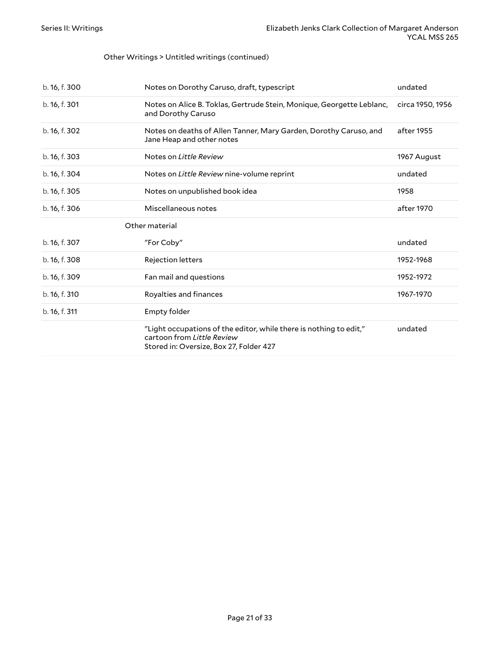#### Other Writings > Untitled writings (continued)

| b. 16, f. 300 | Notes on Dorothy Caruso, draft, typescript                                                                                                  | undated          |
|---------------|---------------------------------------------------------------------------------------------------------------------------------------------|------------------|
| b. 16, f. 301 | Notes on Alice B. Toklas, Gertrude Stein, Monique, Georgette Leblanc,<br>and Dorothy Caruso                                                 | circa 1950, 1956 |
| b. 16, f. 302 | Notes on deaths of Allen Tanner, Mary Garden, Dorothy Caruso, and<br>Jane Heap and other notes                                              | after 1955       |
| b. 16, f. 303 | Notes on Little Review                                                                                                                      | 1967 August      |
| b. 16, f. 304 | Notes on <i>Little Review</i> nine-volume reprint                                                                                           | undated          |
| b. 16, f. 305 | Notes on unpublished book idea                                                                                                              | 1958             |
| b. 16, f. 306 | Miscellaneous notes                                                                                                                         | after 1970       |
|               | Other material                                                                                                                              |                  |
| b. 16, f. 307 | "For Coby"                                                                                                                                  | undated          |
| b. 16, f. 308 | Rejection letters                                                                                                                           | 1952-1968        |
| b. 16, f. 309 | Fan mail and questions                                                                                                                      | 1952-1972        |
| b. 16, f. 310 | Royalties and finances                                                                                                                      | 1967-1970        |
| b. 16, f. 311 | Empty folder                                                                                                                                |                  |
|               | "Light occupations of the editor, while there is nothing to edit,"<br>cartoon from Little Review<br>Stored in: Oversize, Box 27, Folder 427 | undated          |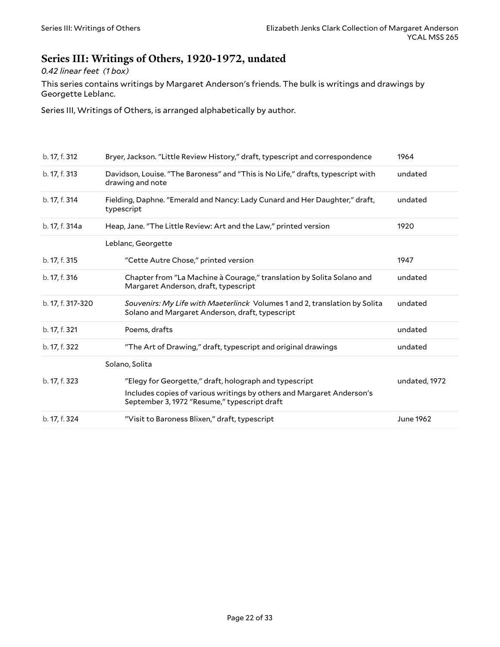### <span id="page-21-0"></span>**Series III: Writings of Others, 1920-1972, undated**

*0.42 linear feet (1 box)*

This series contains writings by Margaret Anderson's friends. The bulk is writings and drawings by Georgette Leblanc.

Series III, Writings of Others, is arranged alphabetically by author.

<span id="page-21-1"></span>

| b. 17, f. 312     | Bryer, Jackson. "Little Review History," draft, typescript and correspondence                                                                                                   | 1964             |
|-------------------|---------------------------------------------------------------------------------------------------------------------------------------------------------------------------------|------------------|
| b. 17, f. 313     | Davidson, Louise. "The Baroness" and "This is No Life," drafts, typescript with<br>drawing and note                                                                             | undated          |
| b. 17, f. 314     | Fielding, Daphne. "Emerald and Nancy: Lady Cunard and Her Daughter," draft,<br>typescript                                                                                       | undated          |
| b. 17, f. 314a    | Heap, Jane. "The Little Review: Art and the Law," printed version                                                                                                               | 1920             |
|                   | Leblanc, Georgette                                                                                                                                                              |                  |
| b. 17, f. 315     | "Cette Autre Chose," printed version                                                                                                                                            | 1947             |
| b. 17, f. 316     | Chapter from "La Machine à Courage," translation by Solita Solano and<br>Margaret Anderson, draft, typescript                                                                   | undated          |
| b. 17, f. 317-320 | Souvenirs: My Life with Maeterlinck Volumes 1 and 2, translation by Solita<br>Solano and Margaret Anderson, draft, typescript                                                   | undated          |
| b. 17, f. 321     | Poems, drafts                                                                                                                                                                   | undated          |
| b. 17, f. 322     | "The Art of Drawing," draft, typescript and original drawings                                                                                                                   | undated          |
|                   | Solano, Solita                                                                                                                                                                  |                  |
| b. 17, f. 323     | "Elegy for Georgette," draft, holograph and typescript<br>Includes copies of various writings by others and Margaret Anderson's<br>September 3, 1972 "Resume," typescript draft | undated, 1972    |
| b. 17, f. 324     | "Visit to Baroness Blixen," draft, typescript                                                                                                                                   | <b>June 1962</b> |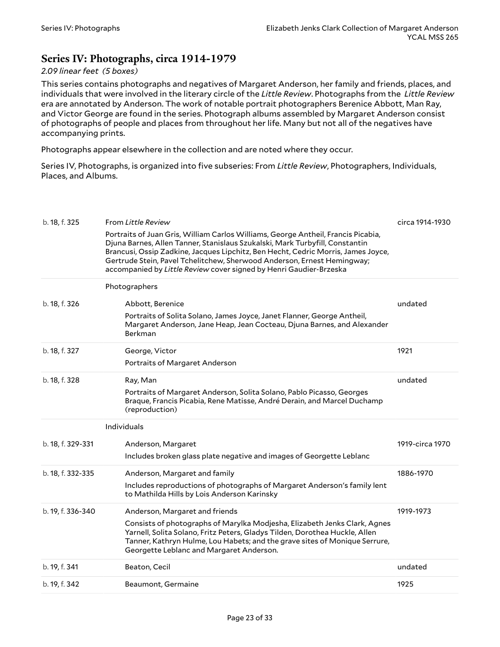### <span id="page-22-0"></span>**Series IV: Photographs, circa 1914-1979**

#### *2.09 linear feet (5 boxes)*

This series contains photographs and negatives of Margaret Anderson, her family and friends, places, and individuals that were involved in the literary circle of the *Little Review*. Photographs from the *Little Review* era are annotated by Anderson. The work of notable portrait photographers Berenice Abbott, Man Ray, and Victor George are found in the series. Photograph albums assembled by Margaret Anderson consist of photographs of people and places from throughout her life. Many but not all of the negatives have accompanying prints.

Photographs appear elsewhere in the collection and are noted where they occur.

Series IV, Photographs, is organized into five subseries: From *Little Review*, Photographers, Individuals, Places, and Albums.

<span id="page-22-3"></span><span id="page-22-2"></span><span id="page-22-1"></span>

| b. 18, f. 325     | From Little Review                                                                                                                                                                                                                                                                                                                                                                                      | circa 1914-1930 |
|-------------------|---------------------------------------------------------------------------------------------------------------------------------------------------------------------------------------------------------------------------------------------------------------------------------------------------------------------------------------------------------------------------------------------------------|-----------------|
|                   | Portraits of Juan Gris, William Carlos Williams, George Antheil, Francis Picabia,<br>Djuna Barnes, Allen Tanner, Stanislaus Szukalski, Mark Turbyfill, Constantin<br>Brancusi, Ossip Zadkine, Jacques Lipchitz, Ben Hecht, Cedric Morris, James Joyce,<br>Gertrude Stein, Pavel Tchelitchew, Sherwood Anderson, Ernest Hemingway;<br>accompanied by Little Review cover signed by Henri Gaudier-Brzeska |                 |
|                   | Photographers                                                                                                                                                                                                                                                                                                                                                                                           |                 |
| b. 18, f. 326     | Abbott, Berenice<br>Portraits of Solita Solano, James Joyce, Janet Flanner, George Antheil,<br>Margaret Anderson, Jane Heap, Jean Cocteau, Djuna Barnes, and Alexander<br>Berkman                                                                                                                                                                                                                       | undated         |
| b. 18, f. 327     | George, Victor<br>Portraits of Margaret Anderson                                                                                                                                                                                                                                                                                                                                                        | 1921            |
| b. 18, f. 328     | Ray, Man<br>Portraits of Margaret Anderson, Solita Solano, Pablo Picasso, Georges<br>Braque, Francis Picabia, Rene Matisse, André Derain, and Marcel Duchamp<br>(reproduction)                                                                                                                                                                                                                          | undated         |
|                   | Individuals                                                                                                                                                                                                                                                                                                                                                                                             |                 |
| b. 18, f. 329-331 | Anderson, Margaret<br>Includes broken glass plate negative and images of Georgette Leblanc                                                                                                                                                                                                                                                                                                              | 1919-circa 1970 |
| b. 18, f. 332-335 | Anderson, Margaret and family<br>Includes reproductions of photographs of Margaret Anderson's family lent<br>to Mathilda Hills by Lois Anderson Karinsky                                                                                                                                                                                                                                                | 1886-1970       |
| b. 19, f. 336-340 | Anderson, Margaret and friends<br>Consists of photographs of Marylka Modjesha, Elizabeth Jenks Clark, Agnes<br>Yarnell, Solita Solano, Fritz Peters, Gladys Tilden, Dorothea Huckle, Allen<br>Tanner, Kathryn Hulme, Lou Habets; and the grave sites of Monique Serrure,<br>Georgette Leblanc and Margaret Anderson.                                                                                    | 1919-1973       |
| b. 19, f. 341     | Beaton, Cecil                                                                                                                                                                                                                                                                                                                                                                                           | undated         |
|                   |                                                                                                                                                                                                                                                                                                                                                                                                         |                 |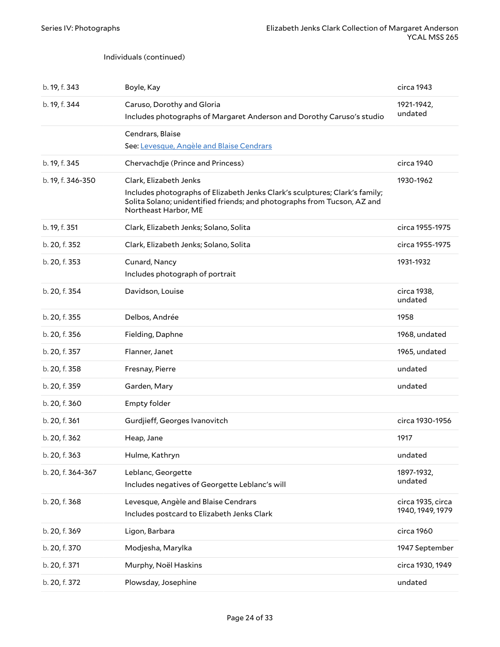#### Individuals (continued)

<span id="page-23-1"></span><span id="page-23-0"></span>

| b. 19, f. 343     | Boyle, Kay                                                                                                                                                                                                | circa 1943                            |
|-------------------|-----------------------------------------------------------------------------------------------------------------------------------------------------------------------------------------------------------|---------------------------------------|
| b. 19, f. 344     | Caruso, Dorothy and Gloria<br>Includes photographs of Margaret Anderson and Dorothy Caruso's studio                                                                                                       | 1921-1942,<br>undated                 |
|                   | Cendrars, Blaise<br>See: Levesque, Angèle and Blaise Cendrars                                                                                                                                             |                                       |
| b. 19, f. 345     | Chervachdje (Prince and Princess)                                                                                                                                                                         | circa 1940                            |
| b. 19, f. 346-350 | Clark, Elizabeth Jenks<br>Includes photographs of Elizabeth Jenks Clark's sculptures; Clark's family;<br>Solita Solano; unidentified friends; and photographs from Tucson, AZ and<br>Northeast Harbor, ME | 1930-1962                             |
| b. 19, f. 351     | Clark, Elizabeth Jenks; Solano, Solita                                                                                                                                                                    | circa 1955-1975                       |
| b. 20, f. 352     | Clark, Elizabeth Jenks; Solano, Solita                                                                                                                                                                    | circa 1955-1975                       |
| b. 20, f. 353     | Cunard, Nancy<br>Includes photograph of portrait                                                                                                                                                          | 1931-1932                             |
| b. 20, f. 354     | Davidson, Louise                                                                                                                                                                                          | circa 1938,<br>undated                |
| b. 20, f. 355     | Delbos, Andrée                                                                                                                                                                                            | 1958                                  |
| b. 20, f. 356     | Fielding, Daphne                                                                                                                                                                                          | 1968, undated                         |
| b. 20, f. 357     | Flanner, Janet                                                                                                                                                                                            | 1965, undated                         |
| b. 20, f. 358     | Fresnay, Pierre                                                                                                                                                                                           | undated                               |
| b. 20, f. 359     | Garden, Mary                                                                                                                                                                                              | undated                               |
| b. 20, f. 360     | Empty folder                                                                                                                                                                                              |                                       |
| b. 20, f. 361     | Gurdjieff, Georges Ivanovitch                                                                                                                                                                             | circa 1930-1956                       |
| b. 20, f. 362     | Heap, Jane                                                                                                                                                                                                | 1917                                  |
| b. 20, f. 363     | Hulme, Kathryn                                                                                                                                                                                            | undated                               |
| b. 20, f. 364-367 | Leblanc, Georgette<br>Includes negatives of Georgette Leblanc's will                                                                                                                                      | 1897-1932,<br>undated                 |
| b. 20, f. 368     | Levesque, Angèle and Blaise Cendrars<br>Includes postcard to Elizabeth Jenks Clark                                                                                                                        | circa 1935, circa<br>1940, 1949, 1979 |
| b. 20, f. 369     | Ligon, Barbara                                                                                                                                                                                            | circa 1960                            |
| b. 20, f. 370     | Modjesha, Marylka                                                                                                                                                                                         | 1947 September                        |
| b. 20, f. 371     | Murphy, Noël Haskins                                                                                                                                                                                      | circa 1930, 1949                      |
| b. 20, f. 372     | Plowsday, Josephine                                                                                                                                                                                       | undated                               |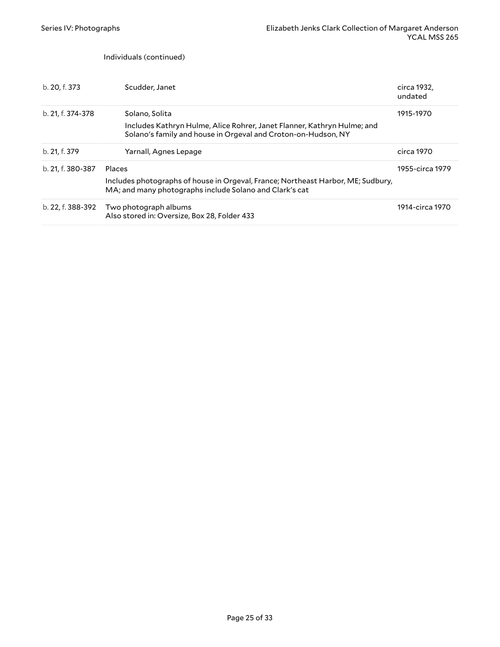Individuals (continued)

<span id="page-24-1"></span><span id="page-24-0"></span>

| b. 20, f. 373     | Scudder, Janet                                                                                                                                             | circa 1932,<br>undated |
|-------------------|------------------------------------------------------------------------------------------------------------------------------------------------------------|------------------------|
| b. 21, f. 374-378 | Solano, Solita<br>Includes Kathryn Hulme, Alice Rohrer, Janet Flanner, Kathryn Hulme; and<br>Solano's family and house in Orgeval and Croton-on-Hudson, NY | 1915-1970              |
| b. 21, f. 379     | Yarnall, Agnes Lepage                                                                                                                                      | circa 1970             |
| b. 21, f. 380-387 | Places<br>Includes photographs of house in Orgeval, France; Northeast Harbor, ME; Sudbury,<br>MA; and many photographs include Solano and Clark's cat      | 1955-circa 1979        |
| b. 22, f. 388-392 | Two photograph albums<br>Also stored in: Oversize, Box 28, Folder 433                                                                                      | 1914-circa 1970        |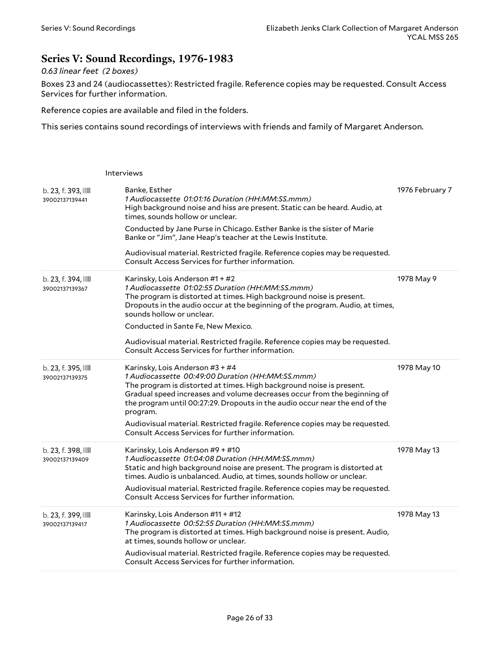### <span id="page-25-0"></span>**Series V: Sound Recordings, 1976-1983**

#### *0.63 linear feet (2 boxes)*

Boxes 23 and 24 (audiocassettes): Restricted fragile. Reference copies may be requested. Consult Access Services for further information.

Reference copies are available and filed in the folders.

This series contains sound recordings of interviews with friends and family of Margaret Anderson.

|                                       | Interviews                                                                                                                                                                                                                                                                                                                                                                                                                                                             |                 |
|---------------------------------------|------------------------------------------------------------------------------------------------------------------------------------------------------------------------------------------------------------------------------------------------------------------------------------------------------------------------------------------------------------------------------------------------------------------------------------------------------------------------|-----------------|
| b. 23, f. 393, IIII<br>39002137139441 | Banke, Esther<br>1 Audiocassette 01:01:16 Duration (HH:MM:SS.mmm)<br>High background noise and hiss are present. Static can be heard. Audio, at<br>times, sounds hollow or unclear.<br>Conducted by Jane Purse in Chicago. Esther Banke is the sister of Marie<br>Banke or "Jim", Jane Heap's teacher at the Lewis Institute.<br>Audiovisual material. Restricted fragile. Reference copies may be requested.<br>Consult Access Services for further information.      | 1976 February 7 |
| b. 23, f. 394,<br>39002137139367      | Karinsky, Lois Anderson #1 + #2<br>1 Audiocassette 01:02:55 Duration (HH:MM:SS.mmm)<br>The program is distorted at times. High background noise is present.<br>Dropouts in the audio occur at the beginning of the program. Audio, at times,<br>sounds hollow or unclear.<br>Conducted in Sante Fe, New Mexico.<br>Audiovisual material. Restricted fragile. Reference copies may be requested.<br>Consult Access Services for further information.                    | 1978 May 9      |
| b. 23, f. 395, IIII<br>39002137139375 | Karinsky, Lois Anderson #3 + #4<br>1 Audiocassette 00:49:00 Duration (HH:MM:SS.mmm)<br>The program is distorted at times. High background noise is present.<br>Gradual speed increases and volume decreases occur from the beginning of<br>the program until 00:27:29. Dropouts in the audio occur near the end of the<br>program.<br>Audiovisual material. Restricted fragile. Reference copies may be requested.<br>Consult Access Services for further information. | 1978 May 10     |
| b. 23, f. 398, IIII<br>39002137139409 | Karinsky, Lois Anderson #9 + #10<br>1 Audiocassette 01:04:08 Duration (HH:MM:SS.mmm)<br>Static and high background noise are present. The program is distorted at<br>times. Audio is unbalanced. Audio, at times, sounds hollow or unclear.<br>Audiovisual material. Restricted fragile. Reference copies may be requested.<br>Consult Access Services for further information.                                                                                        | 1978 May 13     |
| b. 23, f. 399, IIII<br>39002137139417 | Karinsky, Lois Anderson #11 + #12<br>1 Audiocassette 00:52:55 Duration (HH:MM:SS.mmm)<br>The program is distorted at times. High background noise is present. Audio,<br>at times, sounds hollow or unclear.<br>Audiovisual material. Restricted fragile. Reference copies may be requested.<br>Consult Access Services for further information.                                                                                                                        | 1978 May 13     |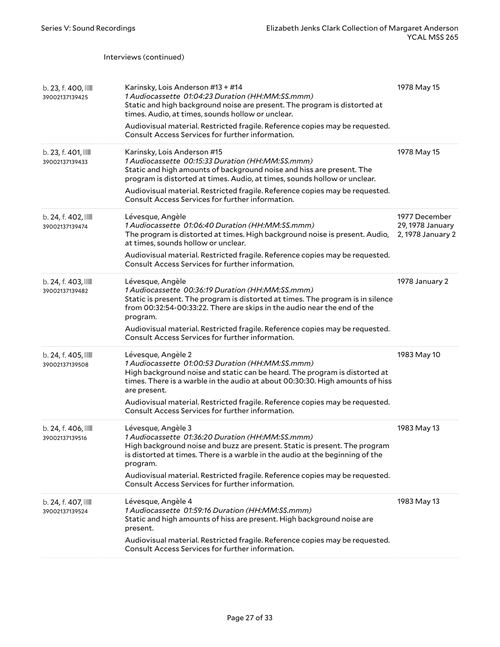|                                       | Interviews (continued)                                                                                                                                                                                                                                                                                                                                                                    |                                                        |
|---------------------------------------|-------------------------------------------------------------------------------------------------------------------------------------------------------------------------------------------------------------------------------------------------------------------------------------------------------------------------------------------------------------------------------------------|--------------------------------------------------------|
| b. 23, f. 400, IIII<br>39002137139425 | Karinsky, Lois Anderson #13 + #14<br>1 Audiocassette 01:04:23 Duration (HH:MM:SS.mmm)<br>Static and high background noise are present. The program is distorted at<br>times. Audio, at times, sounds hollow or unclear.<br>Audiovisual material. Restricted fragile. Reference copies may be requested.<br>Consult Access Services for further information.                               | 1978 May 15                                            |
| b. 23, f. 401, IIII<br>39002137139433 | Karinsky, Lois Anderson #15<br>1 Audiocassette 00:15:33 Duration (HH:MM:SS.mmm)<br>Static and high amounts of background noise and hiss are present. The<br>program is distorted at times. Audio, at times, sounds hollow or unclear.<br>Audiovisual material. Restricted fragile. Reference copies may be requested.<br>Consult Access Services for further information.                 | 1978 May 15                                            |
| b. 24, f. 402, IIII<br>39002137139474 | Lévesque, Angèle<br>1 Audiocassette 01:06:40 Duration (HH:MM:SS.mmm)<br>The program is distorted at times. High background noise is present. Audio,<br>at times, sounds hollow or unclear.<br>Audiovisual material. Restricted fragile. Reference copies may be requested.<br>Consult Access Services for further information.                                                            | 1977 December<br>29, 1978 January<br>2, 1978 January 2 |
| b. 24, f. 403,<br>39002137139482      | Lévesque, Angèle<br>1 Audiocassette 00:36:19 Duration (HH:MM:SS.mmm)<br>Static is present. The program is distorted at times. The program is in silence<br>from 00:32:54-00:33:22. There are skips in the audio near the end of the<br>program.<br>Audiovisual material. Restricted fragile. Reference copies may be requested.<br>Consult Access Services for further information.       | 1978 January 2                                         |
| b. 24, f. 405, IIII<br>39002137139508 | Lévesque, Angèle 2<br>1 Audiocassette 01:00:53 Duration (HH:MM:SS.mmm)<br>High background noise and static can be heard. The program is distorted at<br>times. There is a warble in the audio at about 00:30:30. High amounts of hiss<br>are present.<br>Audiovisual material. Restricted fragile. Reference copies may be requested.<br>Consult Access Services for further information. | 1983 May 10                                            |
| b. 24, f. 406,<br>39002137139516      | Lévesque, Angèle 3<br>1 Audiocassette 01:36:20 Duration (HH:MM:SS.mmm)<br>High background noise and buzz are present. Static is present. The program<br>is distorted at times. There is a warble in the audio at the beginning of the<br>program.<br>Audiovisual material. Restricted fragile. Reference copies may be requested.<br>Consult Access Services for further information.     | 1983 May 13                                            |
| b. 24, f. 407, IIII<br>39002137139524 | Lévesque, Angèle 4<br>1 Audiocassette 01:59:16 Duration (HH:MM:SS.mmm)<br>Static and high amounts of hiss are present. High background noise are<br>present.<br>Audiovisual material. Restricted fragile. Reference copies may be requested.<br>Consult Access Services for further information.                                                                                          | 1983 May 13                                            |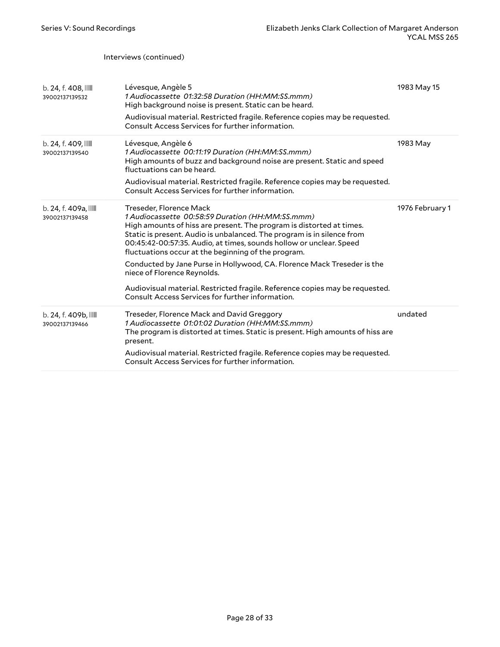Interviews (continued)

| $b. 24, f. 408$ , $III$<br>39002137139532 | Lévesque, Angèle 5<br>1 Audiocassette 01:32:58 Duration (HH:MM:SS.mmm)<br>High background noise is present. Static can be heard.<br>Audiovisual material. Restricted fragile. Reference copies may be requested.<br>Consult Access Services for further information.                                                                                                                                                                                                                                                                                                                                      | 1983 May 15     |
|-------------------------------------------|-----------------------------------------------------------------------------------------------------------------------------------------------------------------------------------------------------------------------------------------------------------------------------------------------------------------------------------------------------------------------------------------------------------------------------------------------------------------------------------------------------------------------------------------------------------------------------------------------------------|-----------------|
| b. 24, f. 409,<br>39002137139540          | Lévesque, Angèle 6<br>1 Audiocassette 00:11:19 Duration (HH:MM:SS.mmm)<br>High amounts of buzz and background noise are present. Static and speed<br>fluctuations can be heard.<br>Audiovisual material. Restricted fragile. Reference copies may be requested.<br>Consult Access Services for further information.                                                                                                                                                                                                                                                                                       | 1983 May        |
| b. 24, f. 409a, IIII<br>39002137139458    | Treseder, Florence Mack<br>1 Audiocassette 00:58:59 Duration (HH:MM:SS.mmm)<br>High amounts of hiss are present. The program is distorted at times.<br>Static is present. Audio is unbalanced. The program is in silence from<br>00:45:42-00:57:35. Audio, at times, sounds hollow or unclear. Speed<br>fluctuations occur at the beginning of the program.<br>Conducted by Jane Purse in Hollywood, CA. Florence Mack Treseder is the<br>niece of Florence Reynolds.<br>Audiovisual material. Restricted fragile. Reference copies may be requested.<br>Consult Access Services for further information. | 1976 February 1 |
| b. 24. f. 409b.<br>39002137139466         | Treseder, Florence Mack and David Greggory<br>1 Audiocassette 01:01:02 Duration (HH:MM:SS.mmm)<br>The program is distorted at times. Static is present. High amounts of hiss are<br>present.<br>Audiovisual material. Restricted fragile. Reference copies may be requested.<br>Consult Access Services for further information.                                                                                                                                                                                                                                                                          | undated         |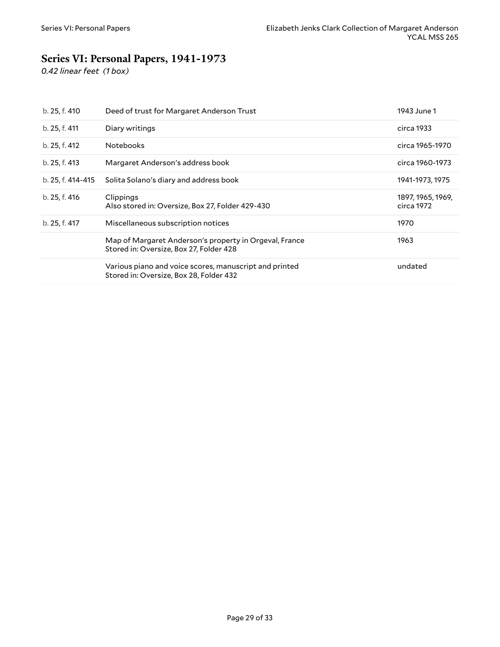### <span id="page-28-0"></span>**Series VI: Personal Papers, 1941-1973**

*0.42 linear feet (1 box)*

| b. 25, f. 410     | Deed of trust for Margaret Anderson Trust                                                         | 1943 June 1                     |
|-------------------|---------------------------------------------------------------------------------------------------|---------------------------------|
| b. 25, f. 411     | Diary writings                                                                                    | circa 1933                      |
| b. 25, f. 412     | <b>Notebooks</b>                                                                                  | circa 1965-1970                 |
| b. 25, f. 413     | Margaret Anderson's address book                                                                  | circa 1960-1973                 |
| b. 25, f. 414-415 | Solita Solano's diary and address book                                                            | 1941-1973, 1975                 |
| b. 25, f. 416     | Clippings<br>Also stored in: Oversize, Box 27, Folder 429-430                                     | 1897, 1965, 1969,<br>circa 1972 |
| b. 25, f. 417     | Miscellaneous subscription notices                                                                | 1970                            |
|                   | Map of Margaret Anderson's property in Orgeval, France<br>Stored in: Oversize, Box 27, Folder 428 | 1963                            |
|                   | Various piano and voice scores, manuscript and printed<br>Stored in: Oversize, Box 28, Folder 432 | undated                         |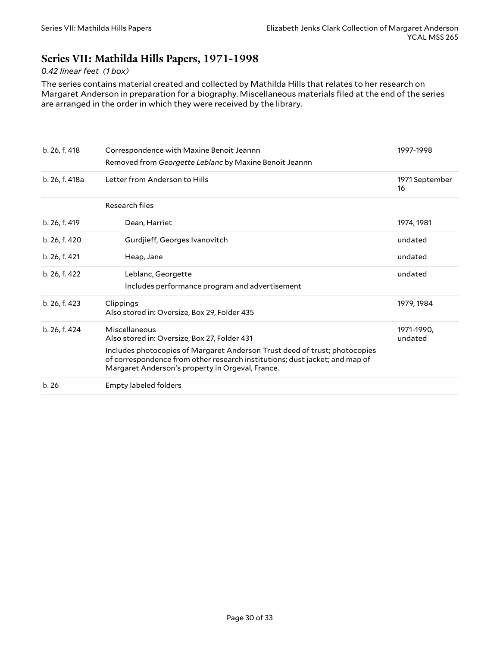### <span id="page-29-0"></span>**Series VII: Mathilda Hills Papers, 1971-1998**

#### *0.42 linear feet (1 box)*

The series contains material created and collected by Mathilda Hills that relates to her research on Margaret Anderson in preparation for a biography. Miscellaneous materials filed at the end of the series are arranged in the order in which they were received by the library.

| b. 26, f. 418  | Correspondence with Maxine Benoit Jeannn<br>Removed from Georgette Leblanc by Maxine Benoit Jeannn                                                                                                            | 1997-1998             |
|----------------|---------------------------------------------------------------------------------------------------------------------------------------------------------------------------------------------------------------|-----------------------|
| b. 26, f. 418a | Letter from Anderson to Hills                                                                                                                                                                                 | 1971 September<br>16  |
|                | Research files                                                                                                                                                                                                |                       |
| b. 26, f. 419  | Dean, Harriet                                                                                                                                                                                                 | 1974, 1981            |
| b. 26, f. 420  | Gurdjieff, Georges Ivanovitch                                                                                                                                                                                 | undated               |
| b. 26, f. 421  | Heap, Jane                                                                                                                                                                                                    | undated               |
| b. 26, f. 422  | Leblanc, Georgette<br>Includes performance program and advertisement                                                                                                                                          | undated               |
| b. 26, f. 423  | Clippings<br>Also stored in: Oversize, Box 29, Folder 435                                                                                                                                                     | 1979, 1984            |
| b. 26, f. 424  | Miscellaneous<br>Also stored in: Oversize, Box 27, Folder 431                                                                                                                                                 | 1971-1990,<br>undated |
|                | Includes photocopies of Margaret Anderson Trust deed of trust; photocopies<br>of correspondence from other research institutions; dust jacket; and map of<br>Margaret Anderson's property in Orgeval, France. |                       |
| b.26           | Empty labeled folders                                                                                                                                                                                         |                       |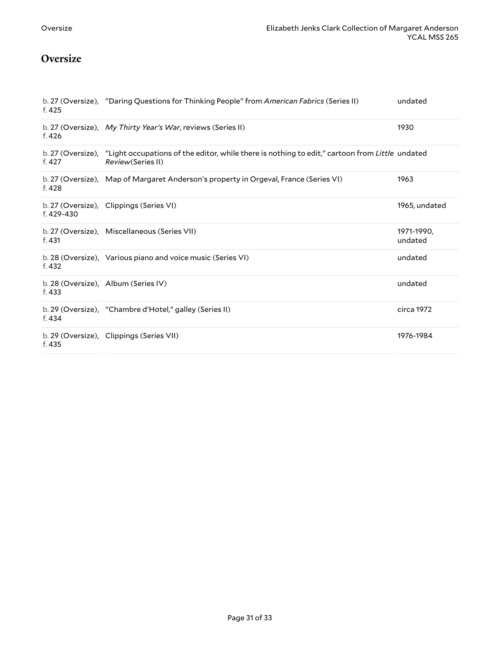### <span id="page-30-0"></span>**Oversize**

| f. 425     | b. 27 (Oversize), "Daring Questions for Thinking People" from American Fabrics (Series II)                                            | undated               |
|------------|---------------------------------------------------------------------------------------------------------------------------------------|-----------------------|
| f. 426     | b. 27 (Oversize), My Thirty Year's War, reviews (Series II)                                                                           | 1930                  |
| f. 427     | b. 27 (Oversize), "Light occupations of the editor, while there is nothing to edit," cartoon from Little undated<br>Review(Series II) |                       |
| f. 428     | b. 27 (Oversize), Map of Margaret Anderson's property in Orgeval, France (Series VI)                                                  | 1963                  |
| f. 429-430 | b. 27 (Oversize), Clippings (Series VI)                                                                                               | 1965, undated         |
| f. 431     | b. 27 (Oversize), Miscellaneous (Series VII)                                                                                          | 1971-1990,<br>undated |
| f. 432     | b. 28 (Oversize), Various piano and voice music (Series VI)                                                                           | undated               |
| f. 433     | b. 28 (Oversize), Album (Series IV)                                                                                                   | undated               |
| f. 434     | b. 29 (Oversize), "Chambre d'Hotel," galley (Series II)                                                                               | circa 1972            |
| f. 435     | b. 29 (Oversize), Clippings (Series VII)                                                                                              | 1976-1984             |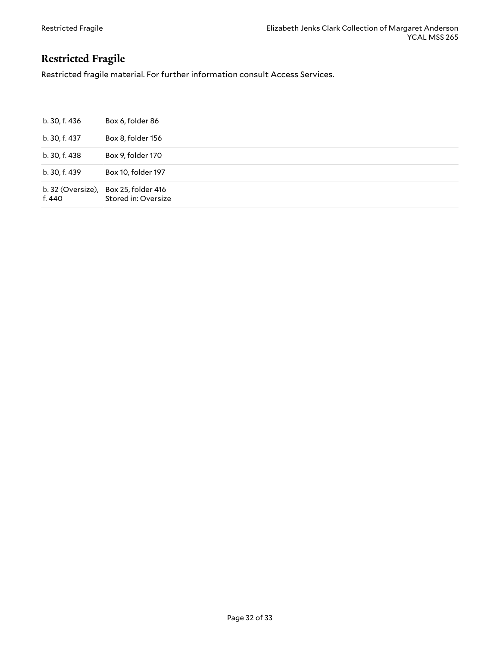### <span id="page-31-0"></span>**Restricted Fragile**

Restricted fragile material. For further information consult Access Services.

| b. 30, f. 436               | Box 6, folder 86                          |
|-----------------------------|-------------------------------------------|
| b. 30, f. 437               | Box 8, folder 156                         |
| b. 30, f. 438               | Box 9, folder 170                         |
| b. 30, f. 439               | Box 10, folder 197                        |
| b. 32 (Oversize),<br>f. 440 | Box 25, folder 416<br>Stored in: Oversize |